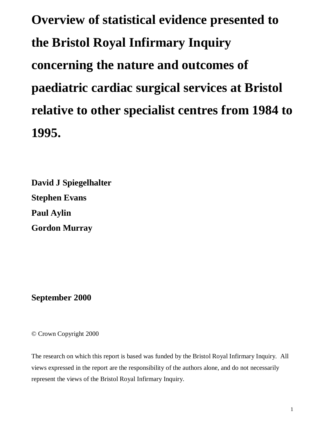**Overview of statistical evidence presented to the Bristol Royal Infirmary Inquiry concerning the nature and outcomes of paediatric cardiac surgical services at Bristol relative to other specialist centres from 1984 to 1995.**

**David J Spiegelhalter Stephen Evans Paul Aylin Gordon Murray**

**September 2000**

© Crown Copyright 2000

The research on which this report is based was funded by the Bristol Royal Infirmary Inquiry. All views expressed in the report are the responsibility of the authors alone, and do not necessarily represent the views of the Bristol Royal Infirmary Inquiry.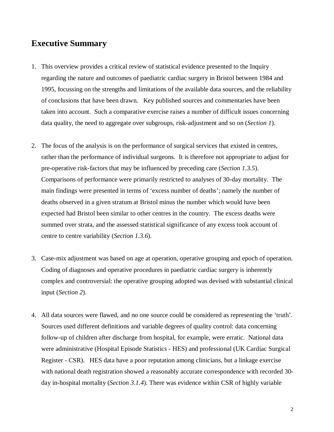## **Executive Summary**

- 1. This overview provides a critical review of statistical evidence presented to the Inquiry regarding the nature and outcomes of paediatric cardiac surgery in Bristol between 1984 and 1995, focussing on the strengths and limitations of the available data sources, and the reliability of conclusions that have been drawn. Key published sources and commentaries have been taken into account. Such a comparative exercise raises a number of difficult issues concerning data quality, the need to aggregate over subgroups, risk-adjustment and so on (*Section 1*).
- 2. The focus of the analysis is on the performance of surgical services that existed in centres, rather than the performance of individual surgeons. It is therefore not appropriate to adjust for pre-operative risk-factors that may be influenced by preceding care (*Section 1.3.5*). Comparisons of performance were primarily restricted to analyses of 30-day mortality. The main findings were presented in terms of 'excess number of deaths'; namely the number of deaths observed in a given stratum at Bristol minus the number which would have been expected had Bristol been similar to other centres in the country. The excess deaths were summed over strata, and the assessed statistical significance of any excess took account of centre to centre variability (*Section 1.3.6*).
- 3. Case-mix adjustment was based on age at operation, operative grouping and epoch of operation. Coding of diagnoses and operative procedures in paediatric cardiac surgery is inherently complex and controversial: the operative grouping adopted was devised with substantial clinical input (*Section 2*).
- 4. All data sources were flawed, and no one source could be considered as representing the 'truth'. Sources used different definitions and variable degrees of quality control: data concerning follow-up of children after discharge from hospital, for example, were erratic. National data were administrative (Hospital Episode Statistics - HES) and professional (UK Cardiac Surgical Register - CSR). HES data have a poor reputation among clinicians, but a linkage exercise with national death registration showed a reasonably accurate correspondence with recorded 30 day in-hospital mortality (*Section 3.1.4*). There was evidence within CSR of highly variable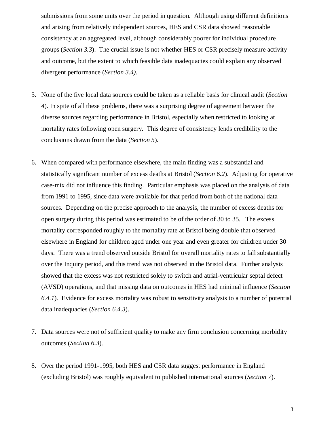submissions from some units over the period in question. Although using different definitions and arising from relatively independent sources, HES and CSR data showed reasonable consistency at an aggregated level, although considerably poorer for individual procedure groups (*Section 3.3*). The crucial issue is not whether HES or CSR precisely measure activity and outcome, but the extent to which feasible data inadequacies could explain any observed divergent performance (*Section 3.4)*.

- 5. None of the five local data sources could be taken as a reliable basis for clinical audit (*Section 4*). In spite of all these problems, there was a surprising degree of agreement between the diverse sources regarding performance in Bristol, especially when restricted to looking at mortality rates following open surgery. This degree of consistency lends credibility to the conclusions drawn from the data (*Section 5*).
- 6. When compared with performance elsewhere, the main finding was a substantial and statistically significant number of excess deaths at Bristol (*Section 6.2*). Adjusting for operative case-mix did not influence this finding. Particular emphasis was placed on the analysis of data from 1991 to 1995, since data were available for that period from both of the national data sources. Depending on the precise approach to the analysis, the number of excess deaths for open surgery during this period was estimated to be of the order of 30 to 35. The excess mortality corresponded roughly to the mortality rate at Bristol being double that observed elsewhere in England for children aged under one year and even greater for children under 30 days. There was a trend observed outside Bristol for overall mortality rates to fall substantially over the Inquiry period, and this trend was not observed in the Bristol data. Further analysis showed that the excess was not restricted solely to switch and atrial-ventricular septal defect (AVSD) operations, and that missing data on outcomes in HES had minimal influence (*Section 6.4.1*). Evidence for excess mortality was robust to sensitivity analysis to a number of potential data inadequacies (*Section 6.4.3*).
- 7. Data sources were not of sufficient quality to make any firm conclusion concerning morbidity outcomes (*Section 6.3*).
- 8. Over the period 1991-1995, both HES and CSR data suggest performance in England (excluding Bristol) was roughly equivalent to published international sources (*Section 7*).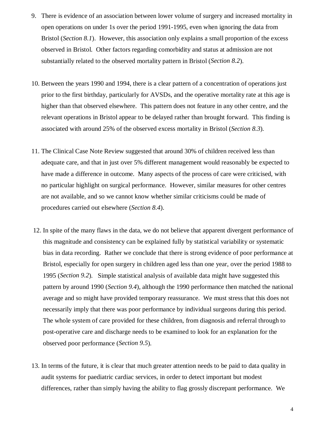- 9. There is evidence of an association between lower volume of surgery and increased mortality in open operations on under 1s over the period 1991-1995, even when ignoring the data from Bristol (*Section 8.1*). However, this association only explains a small proportion of the excess observed in Bristol. Other factors regarding comorbidity and status at admission are not substantially related to the observed mortality pattern in Bristol (*Section 8.2*).
- 10. Between the years 1990 and 1994, there is a clear pattern of a concentration of operations just prior to the first birthday, particularly for AVSDs, and the operative mortality rate at this age is higher than that observed elsewhere. This pattern does not feature in any other centre, and the relevant operations in Bristol appear to be delayed rather than brought forward. This finding is associated with around 25% of the observed excess mortality in Bristol (*Section 8.3*).
- 11. The Clinical Case Note Review suggested that around 30% of children received less than adequate care, and that in just over 5% different management would reasonably be expected to have made a difference in outcome. Many aspects of the process of care were criticised, with no particular highlight on surgical performance. However, similar measures for other centres are not available, and so we cannot know whether similar criticisms could be made of procedures carried out elsewhere (*Section 8.4*).
- 12. In spite of the many flaws in the data, we do not believe that apparent divergent performance of this magnitude and consistency can be explained fully by statistical variability or systematic bias in data recording. Rather we conclude that there is strong evidence of poor performance at Bristol, especially for open surgery in children aged less than one year, over the period 1988 to 1995 (*Section 9.2*). Simple statistical analysis of available data might have suggested this pattern by around 1990 (*Section 9.4*), although the 1990 performance then matched the national average and so might have provided temporary reassurance. We must stress that this does not necessarily imply that there was poor performance by individual surgeons during this period. The whole system of care provided for these children, from diagnosis and referral through to post-operative care and discharge needs to be examined to look for an explanation for the observed poor performance (*Section 9.5*).
- 13. In terms of the future, it is clear that much greater attention needs to be paid to data quality in audit systems for paediatric cardiac services, in order to detect important but modest differences, rather than simply having the ability to flag grossly discrepant performance. We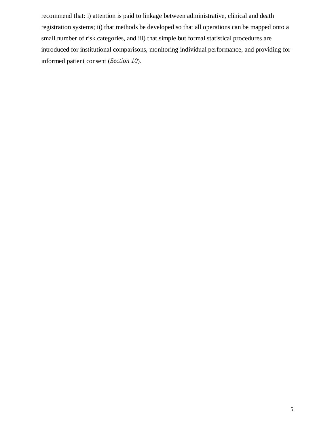recommend that: i) attention is paid to linkage between administrative, clinical and death registration systems; ii) that methods be developed so that all operations can be mapped onto a small number of risk categories, and iii) that simple but formal statistical procedures are introduced for institutional comparisons, monitoring individual performance, and providing for informed patient consent (*Section 10*).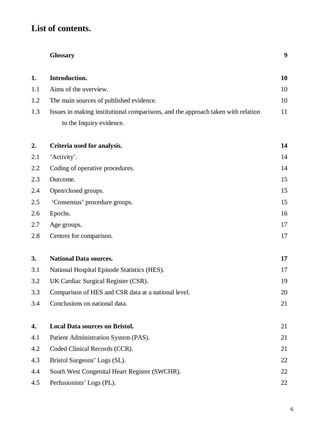# **List of contents.**

|     | <b>Glossary</b>                                                                  | 9  |
|-----|----------------------------------------------------------------------------------|----|
| 1.  | Introduction.                                                                    | 10 |
| 1.1 | Aims of the overview.                                                            | 10 |
| 1.2 | The main sources of published evidence.                                          | 10 |
| 1.3 | Issues in making institutional comparisons, and the approach taken with relation | 11 |
|     | to the Inquiry evidence.                                                         |    |
| 2.  | Criteria used for analysis.                                                      | 14 |
| 2.1 | 'Activity'.                                                                      | 14 |
| 2.2 | Coding of operative procedures.                                                  | 14 |
| 2.3 | Outcome.                                                                         | 15 |
| 2.4 | Open/closed groups.                                                              | 15 |
| 2.5 | 'Consensus' procedure groups.                                                    | 15 |
| 2.6 | Epochs.                                                                          | 16 |
| 2.7 | Age groups.                                                                      | 17 |
| 2.8 | Centres for comparison.                                                          | 17 |
| 3.  | <b>National Data sources.</b>                                                    | 17 |
| 3.1 | National Hospital Episode Statistics (HES).                                      | 17 |
| 3.2 | UK Cardiac Surgical Register (CSR).                                              | 19 |
| 3.3 | Comparison of HES and CSR data at a national level.                              | 20 |
| 3.4 | Conclusions on national data.                                                    | 21 |
| 4.  | <b>Local Data sources on Bristol.</b>                                            | 21 |
| 4.1 | Patient Administration System (PAS).                                             | 21 |
| 4.2 | Coded Clinical Records (CCR).                                                    | 21 |
| 4.3 | Bristol Surgeons' Logs (SL).                                                     | 22 |
| 4.4 | South West Congenital Heart Register (SWCHR).                                    | 22 |
| 4.5 | Perfusionists' Logs (PL).                                                        | 22 |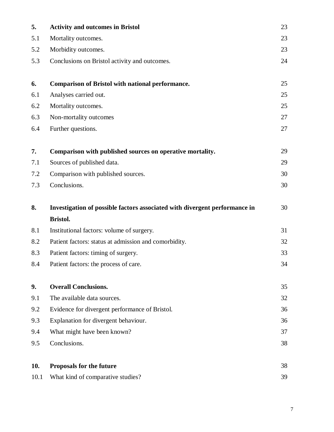| 5.  | <b>Activity and outcomes in Bristol</b>                                    | 23 |
|-----|----------------------------------------------------------------------------|----|
| 5.1 | Mortality outcomes.                                                        | 23 |
| 5.2 | Morbidity outcomes.                                                        | 23 |
| 5.3 | Conclusions on Bristol activity and outcomes.                              | 24 |
| 6.  | <b>Comparison of Bristol with national performance.</b>                    | 25 |
| 6.1 | Analyses carried out.                                                      | 25 |
| 6.2 | Mortality outcomes.                                                        | 25 |
| 6.3 | Non-mortality outcomes                                                     | 27 |
| 6.4 | Further questions.                                                         | 27 |
| 7.  | Comparison with published sources on operative mortality.                  | 29 |
| 7.1 | Sources of published data.                                                 | 29 |
| 7.2 | Comparison with published sources.                                         | 30 |
| 7.3 | Conclusions.                                                               | 30 |
|     |                                                                            |    |
| 8.  | Investigation of possible factors associated with divergent performance in | 30 |
|     | <b>Bristol.</b>                                                            |    |
| 8.1 | Institutional factors: volume of surgery.                                  | 31 |
| 8.2 | Patient factors: status at admission and comorbidity.                      | 32 |
| 8.3 | Patient factors: timing of surgery.                                        | 33 |
| 8.4 | Patient factors: the process of care.                                      | 34 |
| 9.  | <b>Overall Conclusions.</b>                                                | 35 |
| 9.1 | The available data sources.                                                | 32 |
| 9.2 | Evidence for divergent performance of Bristol.                             | 36 |
| 9.3 | Explanation for divergent behaviour.                                       | 36 |
| 9.4 | What might have been known?                                                | 37 |
| 9.5 | Conclusions.                                                               | 38 |
| 10. | <b>Proposals for the future</b>                                            | 38 |

7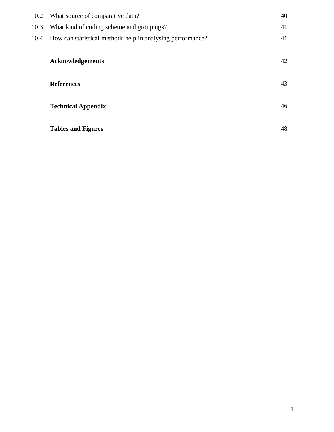|      | 10.2 What source of comparative data?                           | 40 |
|------|-----------------------------------------------------------------|----|
| 10.3 | What kind of coding scheme and groupings?                       | 41 |
|      | 10.4 How can statistical methods help in analysing performance? | 41 |
|      | <b>Acknowledgements</b>                                         | 42 |
|      | <b>References</b>                                               | 43 |
|      |                                                                 |    |
|      | <b>Technical Appendix</b>                                       | 46 |
|      | <b>Tables and Figures</b>                                       | 48 |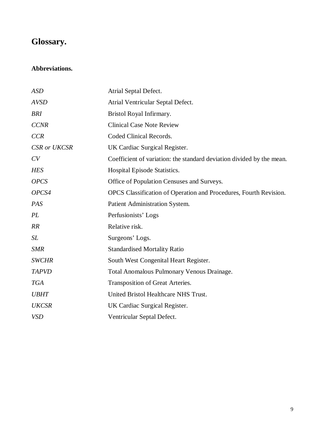# **Glossary.**

## **Abbreviations.**

| <b>ASD</b>          | Atrial Septal Defect.                                                 |
|---------------------|-----------------------------------------------------------------------|
| <b>AVSD</b>         | Atrial Ventricular Septal Defect.                                     |
| <b>BRI</b>          | Bristol Royal Infirmary.                                              |
| <b>CCNR</b>         | <b>Clinical Case Note Review</b>                                      |
| <b>CCR</b>          | Coded Clinical Records.                                               |
| <b>CSR</b> or UKCSR | UK Cardiac Surgical Register.                                         |
| CV                  | Coefficient of variation: the standard deviation divided by the mean. |
| <b>HES</b>          | Hospital Episode Statistics.                                          |
| <b>OPCS</b>         | Office of Population Censuses and Surveys.                            |
| OPCS4               | OPCS Classification of Operation and Procedures, Fourth Revision.     |
| PAS                 | Patient Administration System.                                        |
| PL                  | Perfusionists' Logs                                                   |
| RR                  | Relative risk.                                                        |
| <b>SL</b>           | Surgeons' Logs.                                                       |
| <b>SMR</b>          | <b>Standardised Mortality Ratio</b>                                   |
| <b>SWCHR</b>        | South West Congenital Heart Register.                                 |
| <b>TAPVD</b>        | <b>Total Anomalous Pulmonary Venous Drainage.</b>                     |
| <b>TGA</b>          | Transposition of Great Arteries.                                      |
| <b>UBHT</b>         | United Bristol Healthcare NHS Trust.                                  |
| <b>UKCSR</b>        | UK Cardiac Surgical Register.                                         |
| <b>VSD</b>          | Ventricular Septal Defect.                                            |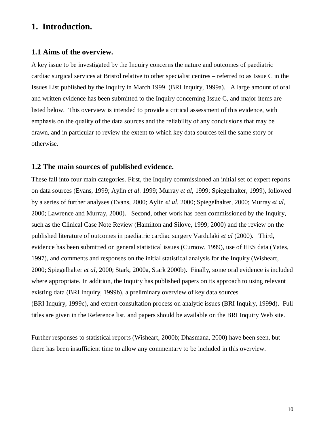## **1. Introduction.**

### **1.1 Aims of the overview.**

A key issue to be investigated by the Inquiry concerns the nature and outcomes of paediatric cardiac surgical services at Bristol relative to other specialist centres – referred to as Issue C in the Issues List published by the Inquiry in March 1999 (BRI Inquiry, 1999a). A large amount of oral and written evidence has been submitted to the Inquiry concerning Issue C, and major items are listed below. This overview is intended to provide a critical assessment of this evidence, with emphasis on the quality of the data sources and the reliability of any conclusions that may be drawn, and in particular to review the extent to which key data sources tell the same story or otherwise.

## **1.2 The main sources of published evidence.**

These fall into four main categories. First, the Inquiry commissioned an initial set of expert reports on data sources (Evans, 1999; Aylin *et al*. 1999; Murray *et al*, 1999; Spiegelhalter, 1999), followed by a series of further analyses (Evans, 2000; Aylin *et al*, 2000; Spiegelhalter, 2000; Murray *et al*, 2000; Lawrence and Murray, 2000). Second, other work has been commissioned by the Inquiry, such as the Clinical Case Note Review (Hamilton and Silove, 1999; 2000) and the review on the published literature of outcomes in paediatric cardiac surgery Vardulaki *et al* (2000). Third, evidence has been submitted on general statistical issues (Curnow, 1999), use of HES data (Yates, 1997), and comments and responses on the initial statistical analysis for the Inquiry (Wisheart, 2000; Spiegelhalter *et al*, 2000; Stark, 2000a, Stark 2000b). Finally, some oral evidence is included where appropriate. In addition, the Inquiry has published papers on its approach to using relevant existing data (BRI Inquiry, 1999b), a preliminary overview of key data sources (BRI Inquiry, 1999c), and expert consultation process on analytic issues (BRI Inquiry, 1999d). Full titles are given in the Reference list, and papers should be available on the BRI Inquiry Web site.

Further responses to statistical reports (Wisheart, 2000b; Dhasmana, 2000) have been seen, but there has been insufficient time to allow any commentary to be included in this overview.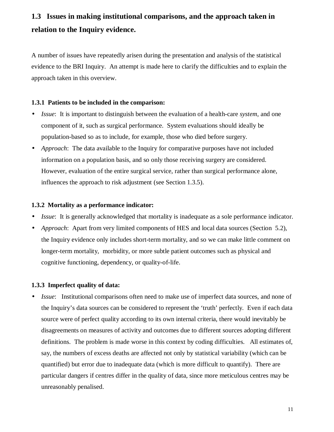# **1.3 Issues in making institutional comparisons, and the approach taken in relation to the Inquiry evidence.**

A number of issues have repeatedly arisen during the presentation and analysis of the statistical evidence to the BRI Inquiry. An attempt is made here to clarify the difficulties and to explain the approach taken in this overview.

#### **1.3.1 Patients to be included in the comparison:**

- *Issue*: It is important to distinguish between the evaluation of a health-care *system*, and one component of it, such as surgical performance. System evaluations should ideally be population-based so as to include, for example, those who died before surgery.
- *Approach*: The data available to the Inquiry for comparative purposes have not included information on a population basis, and so only those receiving surgery are considered. However, evaluation of the entire surgical service, rather than surgical performance alone, influences the approach to risk adjustment (see Section 1.3.5).

#### **1.3.2 Mortality as a performance indicator:**

- *Issue*: It is generally acknowledged that mortality is inadequate as a sole performance indicator.
- *Approach*: Apart from very limited components of HES and local data sources (Section 5.2), the Inquiry evidence only includes short-term mortality, and so we can make little comment on longer-term mortality, morbidity, or more subtle patient outcomes such as physical and cognitive functioning, dependency, or quality-of-life.

#### **1.3.3 Imperfect quality of data:**

• *Issue*: Institutional comparisons often need to make use of imperfect data sources, and none of the Inquiry's data sources can be considered to represent the 'truth' perfectly. Even if each data source were of perfect quality according to its own internal criteria, there would inevitably be disagreements on measures of activity and outcomes due to different sources adopting different definitions. The problem is made worse in this context by coding difficulties. All estimates of, say, the numbers of excess deaths are affected not only by statistical variability (which can be quantified) but error due to inadequate data (which is more difficult to quantify). There are particular dangers if centres differ in the quality of data, since more meticulous centres may be unreasonably penalised.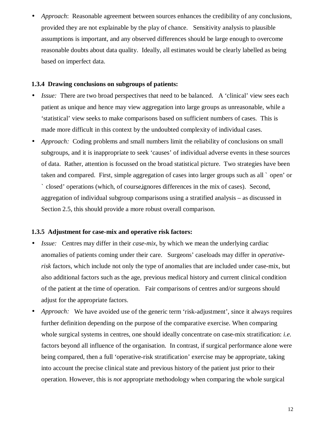• *Approach*: Reasonable agreement between sources enhances the credibility of any conclusions, provided they are not explainable by the play of chance. Sensitivity analysis to plausible assumptions is important, and any observed differences should be large enough to overcome reasonable doubts about data quality. Ideally, all estimates would be clearly labelled as being based on imperfect data.

#### **1.3.4 Drawing conclusions on subgroups of patients:**

- *Issue:* There are two broad perspectives that need to be balanced. A 'clinical' view sees each patient as unique and hence may view aggregation into large groups as unreasonable, while a 'statistical' view seeks to make comparisons based on sufficient numbers of cases. This is made more difficult in this context by the undoubted complexity of individual cases.
- *Approach:* Coding problems and small numbers limit the reliability of conclusions on small subgroups, and it is inappropriate to seek 'causes' of individual adverse events in these sources of data. Rather, attention is focussed on the broad statistical picture. Two strategies have been taken and compared. First, simple aggregation of cases into larger groups such as all ` open' or ` closed' operations (which, of course, ignores differences in the mix of cases). Second, aggregation of individual subgroup comparisons using a stratified analysis – as discussed in Section 2.5, this should provide a more robust overall comparison.

#### **1.3.5 Adjustment for case-mix and operative risk factors:**

- *Issue:* Centres may differ in their *case-mix*, by which we mean the underlying cardiac anomalies of patients coming under their care. Surgeons' caseloads may differ in *operativerisk* factors, which include not only the type of anomalies that are included under case-mix, but also additional factors such as the age, previous medical history and current clinical condition of the patient at the time of operation. Fair comparisons of centres and/or surgeons should adjust for the appropriate factors.
- *Approach:* We have avoided use of the generic term 'risk-adjustment', since it always requires further definition depending on the purpose of the comparative exercise. When comparing whole surgical systems in centres, one should ideally concentrate on case-mix stratification: *i.e.* factors beyond all influence of the organisation. In contrast, if surgical performance alone were being compared, then a full 'operative-risk stratification' exercise may be appropriate, taking into account the precise clinical state and previous history of the patient just prior to their operation. However, this is *not* appropriate methodology when comparing the whole surgical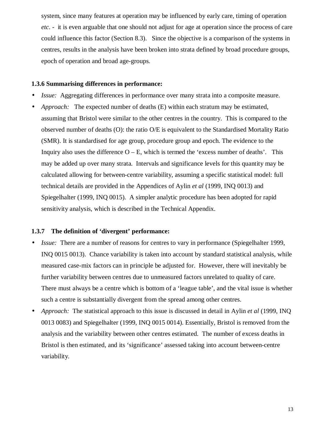system, since many features at operation may be influenced by early care, timing of operation *etc*. - it is even arguable that one should not adjust for age at operation since the process of care could influence this factor (Section 8.3). Since the objective is a comparison of the systems in centres, results in the analysis have been broken into strata defined by broad procedure groups, epoch of operation and broad age-groups.

#### **1.3.6 Summarising differences in performance:**

- *Issue:* Aggregating differences in performance over many strata into a composite measure.
- *Approach:* The expected number of deaths (E) within each stratum may be estimated, assuming that Bristol were similar to the other centres in the country. This is compared to the observed number of deaths (O): the ratio O/E is equivalent to the Standardised Mortality Ratio (SMR). It is standardised for age group, procedure group and epoch. The evidence to the Inquiry also uses the difference  $O - E$ , which is termed the 'excess number of deaths'. This may be added up over many strata. Intervals and significance levels for this quantity may be calculated allowing for between-centre variability, assuming a specific statistical model: full technical details are provided in the Appendices of Aylin *et al* (1999, INQ 0013) and Spiegelhalter (1999, INQ 0015). A simpler analytic procedure has been adopted for rapid sensitivity analysis, which is described in the Technical Appendix.

#### **1.3.7 The definition of 'divergent' performance:**

- *Issue:* There are a number of reasons for centres to vary in performance (Spiegelhalter 1999, INQ 0015 0013). Chance variability is taken into account by standard statistical analysis, while measured case-mix factors can in principle be adjusted for. However, there will inevitably be further variability between centres due to unmeasured factors unrelated to quality of care. There must always be a centre which is bottom of a 'league table', and the vital issue is whether such a centre is substantially divergent from the spread among other centres.
- *Approach:* The statistical approach to this issue is discussed in detail in Aylin *et al* (1999, INQ 0013 0083) and Spiegelhalter (1999, INQ 0015 0014). Essentially, Bristol is removed from the analysis and the variability between other centres estimated. The number of excess deaths in Bristol is then estimated, and its 'significance' assessed taking into account between-centre variability.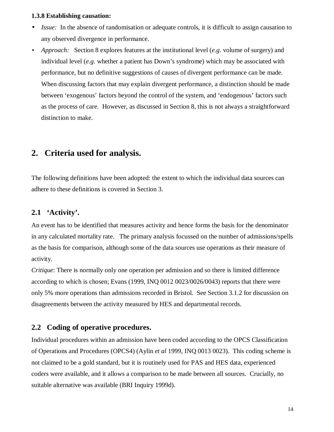#### **1.3.8 Establishing causation:**

- *Issue:* In the absence of randomisation or adequate controls, it is difficult to assign causation to any observed divergence in performance.
- *Approach:* Section 8 explores features at the institutional level (*e.g*. volume of surgery) and individual level (*e.g.* whether a patient has Down's syndrome) which may be associated with performance, but no definitive suggestions of causes of divergent performance can be made. When discussing factors that may explain divergent performance, a distinction should be made between 'exogenous' factors beyond the control of the system, and 'endogenous' factors such as the process of care. However, as discussed in Section 8, this is not always a straightforward distinction to make.

## **2. Criteria used for analysis.**

The following definitions have been adopted: the extent to which the individual data sources can adhere to these definitions is covered in Section 3.

## **2.1 'Activity'.**

An event has to be identified that measures activity and hence forms the basis for the denominator in any calculated mortality rate. The primary analysis focussed on the number of admissions/spells as the basis for comparison, although some of the data sources use operations as their measure of activity.

*Critique*: There is normally only one operation per admission and so there is limited difference according to which is chosen; Evans (1999, INQ 0012 0023/0026/0043) reports that there were only 5% more operations than admissions recorded in Bristol. See Section 3.1.2 for discussion on disagreements between the activity measured by HES and departmental records.

## **2.2 Coding of operative procedures.**

Individual procedures within an admission have been coded according to the OPCS Classification of Operations and Procedures (OPCS4) (Aylin *et al* 1999, INQ 0013 0023). This coding scheme is not claimed to be a gold standard, but it is routinely used for PAS and HES data, experienced coders were available, and it allows a comparison to be made between all sources. Crucially, no suitable alternative was available (BRI Inquiry 1999d).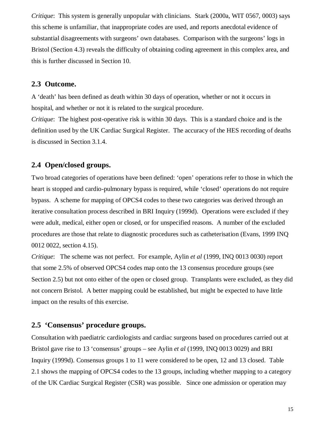*Critique*: This system is generally unpopular with clinicians. Stark (2000a, WIT 0567, 0003) says this scheme is unfamiliar, that inappropriate codes are used, and reports anecdotal evidence of substantial disagreements with surgeons' own databases. Comparison with the surgeons' logs in Bristol (Section 4.3) reveals the difficulty of obtaining coding agreement in this complex area, and this is further discussed in Section 10.

### **2.3 Outcome.**

A 'death' has been defined as death within 30 days of operation, whether or not it occurs in hospital, and whether or not it is related to the surgical procedure.

*Critique*: The highest post-operative risk is within 30 days. This is a standard choice and is the definition used by the UK Cardiac Surgical Register. The accuracy of the HES recording of deaths is discussed in Section 3.1.4.

### **2.4 Open/closed groups.**

Two broad categories of operations have been defined: 'open' operations refer to those in which the heart is stopped and cardio-pulmonary bypass is required, while 'closed' operations do not require bypass. A scheme for mapping of OPCS4 codes to these two categories was derived through an iterative consultation process described in BRI Inquiry (1999d). Operations were excluded if they were adult, medical, either open or closed, or for unspecified reasons. A number of the excluded procedures are those that relate to diagnostic procedures such as catheterisation (Evans, 1999 INQ 0012 0022, section 4.15).

*Critique*: The scheme was not perfect. For example, Aylin *et al* (1999, INQ 0013 0030) report that some 2.5% of observed OPCS4 codes map onto the 13 consensus procedure groups (see Section 2.5) but not onto either of the open or closed group. Transplants were excluded, as they did not concern Bristol. A better mapping could be established, but might be expected to have little impact on the results of this exercise.

## **2.5 'Consensus' procedure groups.**

Consultation with paediatric cardiologists and cardiac surgeons based on procedures carried out at Bristol gave rise to 13 'consensus' groups – see Aylin *et al* (1999, INQ 0013 0029) and BRI Inquiry (1999d). Consensus groups 1 to 11 were considered to be open, 12 and 13 closed. Table 2.1 shows the mapping of OPCS4 codes to the 13 groups, including whether mapping to a category of the UK Cardiac Surgical Register (CSR) was possible. Since one admission or operation may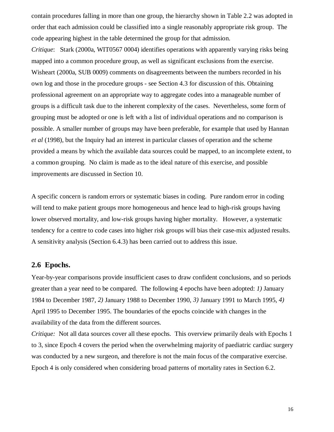contain procedures falling in more than one group, the hierarchy shown in Table 2.2 was adopted in order that each admission could be classified into a single reasonably appropriate risk group. The code appearing highest in the table determined the group for that admission.

*Critique*: Stark (2000a, WIT0567 0004) identifies operations with apparently varying risks being mapped into a common procedure group, as well as significant exclusions from the exercise. Wisheart (2000a, SUB 0009) comments on disagreements between the numbers recorded in his own log and those in the procedure groups - see Section 4.3 for discussion of this. Obtaining professional agreement on an appropriate way to aggregate codes into a manageable number of groups is a difficult task due to the inherent complexity of the cases. Nevertheless, some form of grouping must be adopted or one is left with a list of individual operations and no comparison is possible. A smaller number of groups may have been preferable, for example that used by Hannan *et al* (1998), but the Inquiry had an interest in particular classes of operation and the scheme provided a means by which the available data sources could be mapped, to an incomplete extent, to a common grouping. No claim is made as to the ideal nature of this exercise, and possible improvements are discussed in Section 10.

A specific concern is random errors or systematic biases in coding. Pure random error in coding will tend to make patient groups more homogeneous and hence lead to high-risk groups having lower observed mortality, and low-risk groups having higher mortality. However, a systematic tendency for a centre to code cases into higher risk groups will bias their case-mix adjusted results. A sensitivity analysis (Section 6.4.3) has been carried out to address this issue.

## **2.6 Epochs.**

Year-by-year comparisons provide insufficient cases to draw confident conclusions, and so periods greater than a year need to be compared. The following 4 epochs have been adopted: *1)* January 1984 to December 1987, *2)* January 1988 to December 1990, *3)* January 1991 to March 1995, *4)* April 1995 to December 1995. The boundaries of the epochs coincide with changes in the availability of the data from the different sources.

*Critique:* Not all data sources cover all these epochs. This overview primarily deals with Epochs 1 to 3, since Epoch 4 covers the period when the overwhelming majority of paediatric cardiac surgery was conducted by a new surgeon, and therefore is not the main focus of the comparative exercise. Epoch 4 is only considered when considering broad patterns of mortality rates in Section 6.2.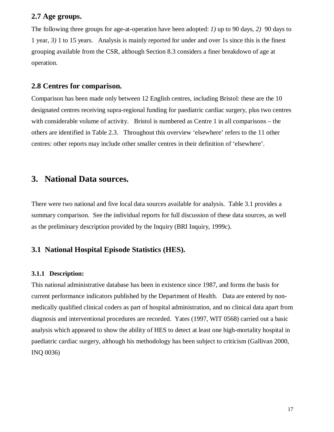### **2.7 Age groups.**

The following three groups for age-at-operation have been adopted: *1)* up to 90 days, *2)* 90 days to 1 year, *3)* 1 to 15 years. Analysis is mainly reported for under and over 1s since this is the finest grouping available from the CSR, although Section 8.3 considers a finer breakdown of age at operation.

### **2.8 Centres for comparison.**

Comparison has been made only between 12 English centres, including Bristol: these are the 10 designated centres receiving supra-regional funding for paediatric cardiac surgery, plus two centres with considerable volume of activity. Bristol is numbered as Centre 1 in all comparisons – the others are identified in Table 2.3. Throughout this overview 'elsewhere' refers to the 11 other centres: other reports may include other smaller centres in their definition of 'elsewhere'.

## **3. National Data sources.**

There were two national and five local data sources available for analysis. Table 3.1 provides a summary comparison. See the individual reports for full discussion of these data sources, as well as the preliminary description provided by the Inquiry (BRI Inquiry, 1999c).

## **3.1 National Hospital Episode Statistics (HES).**

#### **3.1.1 Description:**

This national administrative database has been in existence since 1987, and forms the basis for current performance indicators published by the Department of Health. Data are entered by nonmedically qualified clinical coders as part of hospital administration, and no clinical data apart from diagnosis and interventional procedures are recorded. Yates (1997, WIT 0568) carried out a basic analysis which appeared to show the ability of HES to detect at least one high-mortality hospital in paediatric cardiac surgery, although his methodology has been subject to criticism (Gallivan 2000, INQ 0036)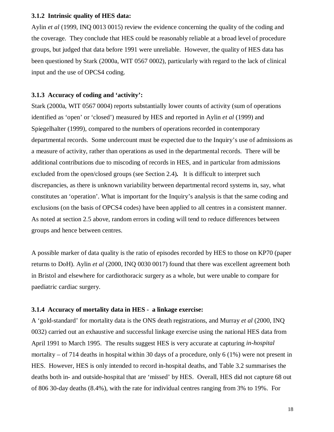#### **3.1.2 Intrinsic quality of HES data:**

Aylin *et al* (1999, INQ 0013 0015) review the evidence concerning the quality of the coding and the coverage. They conclude that HES could be reasonably reliable at a broad level of procedure groups, but judged that data before 1991 were unreliable. However, the quality of HES data has been questioned by Stark (2000a, WIT 0567 0002), particularly with regard to the lack of clinical input and the use of OPCS4 coding.

#### **3.1.3 Accuracy of coding and 'activity':**

Stark (2000a, WIT 0567 0004) reports substantially lower counts of activity (sum of operations identified as 'open' or 'closed') measured by HES and reported in Aylin *et al* (1999) and Spiegelhalter (1999), compared to the numbers of operations recorded in contemporary departmental records. Some undercount must be expected due to the Inquiry's use of admissions as a measure of activity, rather than operations as used in the departmental records. There will be additional contributions due to miscoding of records in HES, and in particular from admissions excluded from the open/closed groups (see Section 2.4)*.* It is difficult to interpret such discrepancies, as there is unknown variability between departmental record systems in, say, what constitutes an 'operation'. What is important for the Inquiry's analysis is that the same coding and exclusions (on the basis of OPCS4 codes) have been applied to all centres in a consistent manner. As noted at section 2.5 above, random errors in coding will tend to reduce differences between groups and hence between centres.

A possible marker of data quality is the ratio of episodes recorded by HES to those on KP70 (paper returns to DoH). Aylin *et al* (2000, INQ 0030 0017) found that there was excellent agreement both in Bristol and elsewhere for cardiothoracic surgery as a whole, but were unable to compare for paediatric cardiac surgery.

#### **3.1.4 Accuracy of mortality data in HES - a linkage exercise:**

A 'gold-standard' for mortality data is the ONS death registrations, and Murray *et al* (2000, INQ 0032) carried out an exhaustive and successful linkage exercise using the national HES data from April 1991 to March 1995. The results suggest HES is very accurate at capturing *in-hospital* mortality – of 714 deaths in hospital within 30 days of a procedure, only 6 (1%) were not present in HES. However, HES is only intended to record in-hospital deaths, and Table 3.2 summarises the deaths both in- and outside-hospital that are 'missed' by HES. Overall, HES did not capture 68 out of 806 30-day deaths (8.4%), with the rate for individual centres ranging from 3% to 19%. For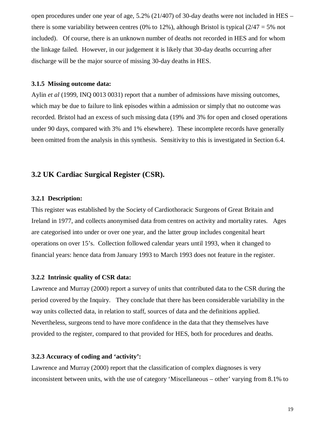open procedures under one year of age,  $5.2\%$  (21/407) of 30-day deaths were not included in HES – there is some variability between centres (0% to 12%), although Bristol is typical ( $2/47 = 5%$  not included). Of course, there is an unknown number of deaths not recorded in HES and for whom the linkage failed. However, in our judgement it is likely that 30-day deaths occurring after discharge will be the major source of missing 30-day deaths in HES.

#### **3.1.5 Missing outcome data:**

Aylin *et al* (1999, INQ 0013 0031) report that a number of admissions have missing outcomes, which may be due to failure to link episodes within a admission or simply that no outcome was recorded. Bristol had an excess of such missing data (19% and 3% for open and closed operations under 90 days, compared with 3% and 1% elsewhere). These incomplete records have generally been omitted from the analysis in this synthesis. Sensitivity to this is investigated in Section 6.4.

### **3.2 UK Cardiac Surgical Register (CSR).**

#### **3.2.1 Description:**

This register was established by the Society of Cardiothoracic Surgeons of Great Britain and Ireland in 1977, and collects anonymised data from centres on activity and mortality rates. Ages are categorised into under or over one year, and the latter group includes congenital heart operations on over 15's. Collection followed calendar years until 1993, when it changed to financial years: hence data from January 1993 to March 1993 does not feature in the register.

#### **3.2.2 Intrinsic quality of CSR data:**

Lawrence and Murray (2000) report a survey of units that contributed data to the CSR during the period covered by the Inquiry. They conclude that there has been considerable variability in the way units collected data, in relation to staff, sources of data and the definitions applied. Nevertheless, surgeons tend to have more confidence in the data that they themselves have provided to the register, compared to that provided for HES, both for procedures and deaths.

#### **3.2.3 Accuracy of coding and 'activity':**

Lawrence and Murray (2000) report that the classification of complex diagnoses is very inconsistent between units, with the use of category 'Miscellaneous – other' varying from 8.1% to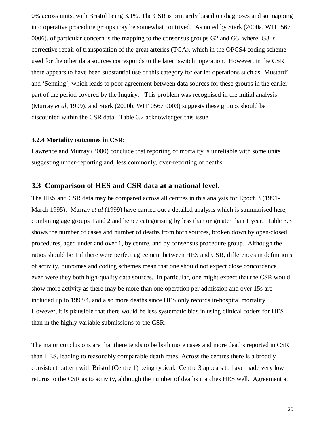0% across units, with Bristol being 3.1%. The CSR is primarily based on diagnoses and so mapping into operative procedure groups may be somewhat contrived. As noted by Stark (2000a, WIT0567 0006), of particular concern is the mapping to the consensus groups G2 and G3, where G3 is corrective repair of transposition of the great arteries (TGA), which in the OPCS4 coding scheme used for the other data sources corresponds to the later 'switch' operation. However, in the CSR there appears to have been substantial use of this category for earlier operations such as 'Mustard' and 'Senning', which leads to poor agreement between data sources for these groups in the earlier part of the period covered by the Inquiry. This problem was recognised in the initial analysis (Murray *et al*, 1999), and Stark (2000b, WIT 0567 0003) suggests these groups should be discounted within the CSR data. Table 6.2 acknowledges this issue.

#### **3.2.4 Mortality outcomes in CSR:**

Lawrence and Murray (2000) conclude that reporting of mortality is unreliable with some units suggesting under-reporting and, less commonly, over-reporting of deaths.

#### **3.3 Comparison of HES and CSR data at a national level.**

The HES and CSR data may be compared across all centres in this analysis for Epoch 3 (1991- March 1995). Murray *et al* (1999) have carried out a detailed analysis which is summarised here, combining age groups 1 and 2 and hence categorising by less than or greater than 1 year. Table 3.3 shows the number of cases and number of deaths from both sources, broken down by open/closed procedures, aged under and over 1, by centre, and by consensus procedure group. Although the ratios should be 1 if there were perfect agreement between HES and CSR, differences in definitions of activity, outcomes and coding schemes mean that one should not expect close concordance even were they both high-quality data sources. In particular, one might expect that the CSR would show more activity as there may be more than one operation per admission and over 15s are included up to 1993/4, and also more deaths since HES only records in-hospital mortality. However, it is plausible that there would be less systematic bias in using clinical coders for HES than in the highly variable submissions to the CSR.

The major conclusions are that there tends to be both more cases and more deaths reported in CSR than HES, leading to reasonably comparable death rates. Across the centres there is a broadly consistent pattern with Bristol (Centre 1) being typical. Centre 3 appears to have made very low returns to the CSR as to activity, although the number of deaths matches HES well. Agreement at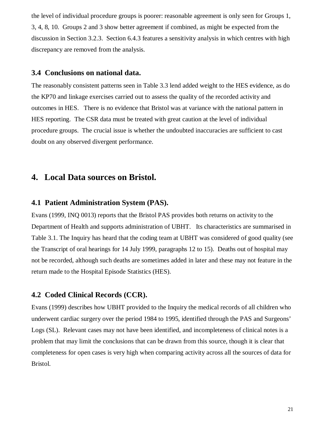the level of individual procedure groups is poorer: reasonable agreement is only seen for Groups 1, 3, 4, 8, 10. Groups 2 and 3 show better agreement if combined, as might be expected from the discussion in Section 3.2.3. Section 6.4.3 features a sensitivity analysis in which centres with high discrepancy are removed from the analysis.

### **3.4 Conclusions on national data.**

The reasonably consistent patterns seen in Table 3.3 lend added weight to the HES evidence, as do the KP70 and linkage exercises carried out to assess the quality of the recorded activity and outcomes in HES. There is no evidence that Bristol was at variance with the national pattern in HES reporting. The CSR data must be treated with great caution at the level of individual procedure groups. The crucial issue is whether the undoubted inaccuracies are sufficient to cast doubt on any observed divergent performance.

## **4. Local Data sources on Bristol.**

## **4.1 Patient Administration System (PAS).**

Evans (1999, INQ 0013) reports that the Bristol PAS provides both returns on activity to the Department of Health and supports administration of UBHT. Its characteristics are summarised in Table 3.1. The Inquiry has heard that the coding team at UBHT was considered of good quality (see the Transcript of oral hearings for 14 July 1999, paragraphs 12 to 15). Deaths out of hospital may not be recorded, although such deaths are sometimes added in later and these may not feature in the return made to the Hospital Episode Statistics (HES).

## **4.2 Coded Clinical Records (CCR).**

Evans (1999) describes how UBHT provided to the Inquiry the medical records of all children who underwent cardiac surgery over the period 1984 to 1995, identified through the PAS and Surgeons' Logs (SL). Relevant cases may not have been identified, and incompleteness of clinical notes is a problem that may limit the conclusions that can be drawn from this source, though it is clear that completeness for open cases is very high when comparing activity across all the sources of data for Bristol.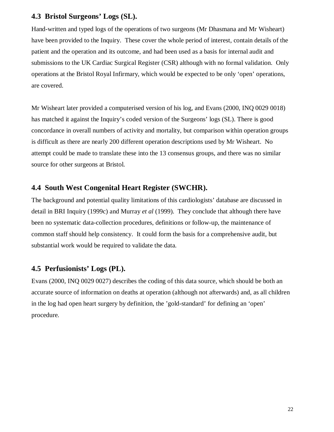## **4.3 Bristol Surgeons' Logs (SL).**

Hand-written and typed logs of the operations of two surgeons (Mr Dhasmana and Mr Wisheart) have been provided to the Inquiry. These cover the whole period of interest, contain details of the patient and the operation and its outcome, and had been used as a basis for internal audit and submissions to the UK Cardiac Surgical Register (CSR) although with no formal validation. Only operations at the Bristol Royal Infirmary, which would be expected to be only 'open' operations, are covered.

Mr Wisheart later provided a computerised version of his log, and Evans (2000, INQ 0029 0018) has matched it against the Inquiry's coded version of the Surgeons' logs (SL). There is good concordance in overall numbers of activity and mortality, but comparison within operation groups is difficult as there are nearly 200 different operation descriptions used by Mr Wisheart. No attempt could be made to translate these into the 13 consensus groups, and there was no similar source for other surgeons at Bristol.

## **4.4 South West Congenital Heart Register (SWCHR).**

The background and potential quality limitations of this cardiologists' database are discussed in detail in BRI Inquiry (1999c) and Murray *et al* (1999). They conclude that although there have been no systematic data-collection procedures, definitions or follow-up, the maintenance of common staff should help consistency. It could form the basis for a comprehensive audit, but substantial work would be required to validate the data.

## **4.5 Perfusionists' Logs (PL).**

Evans (2000, INQ 0029 0027) describes the coding of this data source, which should be both an accurate source of information on deaths at operation (although not afterwards) and, as all children in the log had open heart surgery by definition, the 'gold-standard' for defining an 'open' procedure.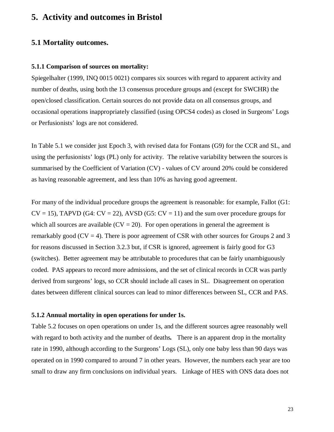## **5. Activity and outcomes in Bristol**

### **5.1 Mortality outcomes.**

#### **5.1.1 Comparison of sources on mortality:**

Spiegelhalter (1999, INQ 0015 0021) compares six sources with regard to apparent activity and number of deaths, using both the 13 consensus procedure groups and (except for SWCHR) the open/closed classification. Certain sources do not provide data on all consensus groups, and occasional operations inappropriately classified (using OPCS4 codes) as closed in Surgeons' Logs or Perfusionists' logs are not considered.

In Table 5.1 we consider just Epoch 3, with revised data for Fontans (G9) for the CCR and SL, and using the perfusionists' logs (PL) only for activity. The relative variability between the sources is summarised by the Coefficient of Variation (CV) - values of CV around 20% could be considered as having reasonable agreement, and less than 10% as having good agreement.

For many of the individual procedure groups the agreement is reasonable: for example, Fallot (G1:  $CV = 15$ ), TAPVD (G4:  $CV = 22$ ), AVSD (G5:  $CV = 11$ ) and the sum over procedure groups for which all sources are available  $(CV = 20)$ . For open operations in general the agreement is remarkably good ( $CV = 4$ ). There is poor agreement of CSR with other sources for Groups 2 and 3 for reasons discussed in Section 3.2.3 but, if CSR is ignored, agreement is fairly good for G3 (switches). Better agreement may be attributable to procedures that can be fairly unambiguously coded. PAS appears to record more admissions, and the set of clinical records in CCR was partly derived from surgeons' logs, so CCR should include all cases in SL. Disagreement on operation dates between different clinical sources can lead to minor differences between SL, CCR and PAS.

#### **5.1.2 Annual mortality in open operations for under 1s.**

Table 5.2 focuses on open operations on under 1s, and the different sources agree reasonably well with regard to both activity and the number of deaths. There is an apparent drop in the mortality rate in 1990, although according to the Surgeons' Logs (SL), only one baby less than 90 days was operated on in 1990 compared to around 7 in other years. However, the numbers each year are too small to draw any firm conclusions on individual years. Linkage of HES with ONS data does not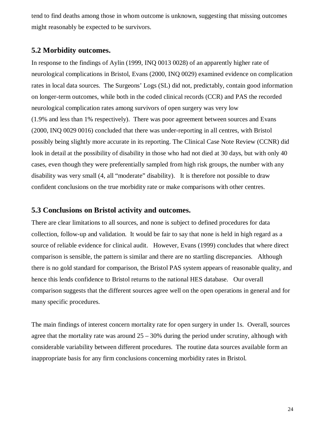tend to find deaths among those in whom outcome is unknown, suggesting that missing outcomes might reasonably be expected to be survivors.

## **5.2 Morbidity outcomes.**

In response to the findings of Aylin (1999, INQ 0013 0028) of an apparently higher rate of neurological complications in Bristol, Evans (2000, INQ 0029) examined evidence on complication rates in local data sources. The Surgeons' Logs (SL) did not, predictably, contain good information on longer-term outcomes, while both in the coded clinical records (CCR) and PAS the recorded neurological complication rates among survivors of open surgery was very low (1.9% and less than 1% respectively). There was poor agreement between sources and Evans (2000, INQ 0029 0016) concluded that there was under-reporting in all centres, with Bristol possibly being slightly more accurate in its reporting. The Clinical Case Note Review (CCNR) did look in detail at the possibility of disability in those who had not died at 30 days, but with only 40 cases, even though they were preferentially sampled from high risk groups, the number with any disability was very small (4, all "moderate" disability). It is therefore not possible to draw confident conclusions on the true morbidity rate or make comparisons with other centres.

### **5.3 Conclusions on Bristol activity and outcomes.**

There are clear limitations to all sources, and none is subject to defined procedures for data collection, follow-up and validation. It would be fair to say that none is held in high regard as a source of reliable evidence for clinical audit. However, Evans (1999) concludes that where direct comparison is sensible, the pattern is similar and there are no startling discrepancies. Although there is no gold standard for comparison, the Bristol PAS system appears of reasonable quality, and hence this lends confidence to Bristol returns to the national HES database. Our overall comparison suggests that the different sources agree well on the open operations in general and for many specific procedures.

The main findings of interest concern mortality rate for open surgery in under 1s. Overall, sources agree that the mortality rate was around  $25 - 30\%$  during the period under scrutiny, although with considerable variability between different procedures. The routine data sources available form an inappropriate basis for any firm conclusions concerning morbidity rates in Bristol.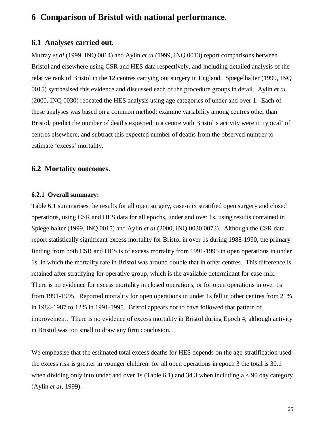## **6 Comparison of Bristol with national performance.**

### **6.1 Analyses carried out.**

Murray *et al* (1999, INQ 0014) and Aylin *et al* (1999, INQ 0013) report comparisons between Bristol and elsewhere using CSR and HES data respectively, and including detailed analysis of the relative rank of Bristol in the 12 centres carrying out surgery in England. Spiegelhalter (1999, INQ 0015) synthesised this evidence and discussed each of the procedure groups in detail. Aylin *et al* (2000, INQ 0030) repeated the HES analysis using age categories of under and over 1. Each of these analyses was based on a common method: examine variability among centres other than Bristol, predict the number of deaths expected in a centre with Bristol's activity were it 'typical' of centres elsewhere, and subtract this expected number of deaths from the observed number to estimate 'excess' mortality.

## **6.2 Mortality outcomes.**

#### **6.2.1 Overall summary:**

Table 6.1 summarises the results for all open surgery, case-mix stratified open surgery and closed operations, using CSR and HES data for all epochs, under and over 1s, using results contained in Spiegelhalter (1999, INQ 0015) and Aylin *et al* (2000, INQ 0030 0073). Although the CSR data report statistically significant excess mortality for Bristol in over 1s during 1988-1990, the primary finding from both CSR and HES is of excess mortality from 1991-1995 in open operations in under 1s, in which the mortality rate in Bristol was around double that in other centres. This difference is retained after stratifying for operative group, which is the available determinant for case-mix. There is no evidence for excess mortality in closed operations, or for open operations in over 1s from 1991-1995. Reported mortality for open operations in under 1s fell in other centres from 21% in 1984-1987 to 12% in 1991-1995. Bristol appears not to have followed that pattern of improvement. There is no evidence of excess mortality in Bristol during Epoch 4, although activity in Bristol was too small to draw any firm conclusion.

We emphasise that the estimated total excess deaths for HES depends on the age-stratification used: the excess risk is greater in younger children: for all open operations in epoch 3 the total is 30.1 when dividing only into under and over 1s (Table 6.1) and 34.3 when including  $a < 90$  day category (Aylin *et al*, 1999).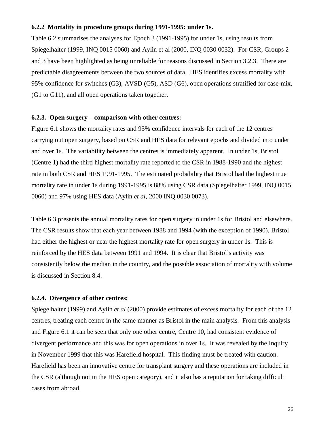#### **6.2.2 Mortality in procedure groups during 1991-1995: under 1s.**

Table 6.2 summarises the analyses for Epoch 3 (1991-1995) for under 1s, using results from Spiegelhalter (1999, INQ 0015 0060) and Aylin et al (2000, INQ 0030 0032). For CSR, Groups 2 and 3 have been highlighted as being unreliable for reasons discussed in Section 3.2.3. There are predictable disagreements between the two sources of data. HES identifies excess mortality with 95% confidence for switches (G3), AVSD (G5), ASD (G6), open operations stratified for case-mix, (G1 to G11), and all open operations taken together.

#### **6.2.3. Open surgery – comparison with other centres:**

Figure 6.1 shows the mortality rates and 95% confidence intervals for each of the 12 centres carrying out open surgery, based on CSR and HES data for relevant epochs and divided into under and over 1s. The variability between the centres is immediately apparent. In under 1s, Bristol (Centre 1) had the third highest mortality rate reported to the CSR in 1988-1990 and the highest rate in both CSR and HES 1991-1995. The estimated probability that Bristol had the highest true mortality rate in under 1s during 1991-1995 is 88% using CSR data (Spiegelhalter 1999, INQ 0015 0060) and 97% using HES data (Aylin *et al,* 2000 INQ 0030 0073).

Table 6.3 presents the annual mortality rates for open surgery in under 1s for Bristol and elsewhere. The CSR results show that each year between 1988 and 1994 (with the exception of 1990), Bristol had either the highest or near the highest mortality rate for open surgery in under 1s. This is reinforced by the HES data between 1991 and 1994. It is clear that Bristol's activity was consistently below the median in the country, and the possible association of mortality with volume is discussed in Section 8.4.

#### **6.2.4. Divergence of other centres:**

Spiegelhalter (1999) and Aylin *et al* (2000) provide estimates of excess mortality for each of the 12 centres, treating each centre in the same manner as Bristol in the main analysis. From this analysis and Figure 6.1 it can be seen that only one other centre, Centre 10, had consistent evidence of divergent performance and this was for open operations in over 1s. It was revealed by the Inquiry in November 1999 that this was Harefield hospital. This finding must be treated with caution. Harefield has been an innovative centre for transplant surgery and these operations are included in the CSR (although not in the HES open category), and it also has a reputation for taking difficult cases from abroad.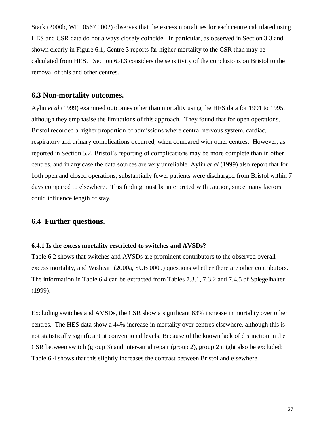Stark (2000b, WIT 0567 0002) observes that the excess mortalities for each centre calculated using HES and CSR data do not always closely coincide. In particular, as observed in Section 3.3 and shown clearly in Figure 6.1, Centre 3 reports far higher mortality to the CSR than may be calculated from HES. Section 6.4.3 considers the sensitivity of the conclusions on Bristol to the removal of this and other centres.

#### **6.3 Non-mortality outcomes.**

Aylin *et al* (1999) examined outcomes other than mortality using the HES data for 1991 to 1995, although they emphasise the limitations of this approach. They found that for open operations, Bristol recorded a higher proportion of admissions where central nervous system, cardiac, respiratory and urinary complications occurred, when compared with other centres. However, as reported in Section 5.2, Bristol's reporting of complications may be more complete than in other centres, and in any case the data sources are very unreliable. Aylin *et al* (1999) also report that for both open and closed operations, substantially fewer patients were discharged from Bristol within 7 days compared to elsewhere. This finding must be interpreted with caution, since many factors could influence length of stay.

## **6.4 Further questions.**

#### **6.4.1 Is the excess mortality restricted to switches and AVSDs?**

Table 6.2 shows that switches and AVSDs are prominent contributors to the observed overall excess mortality, and Wisheart (2000a, SUB 0009) questions whether there are other contributors. The information in Table 6.4 can be extracted from Tables 7.3.1, 7.3.2 and 7.4.5 of Spiegelhalter (1999).

Excluding switches and AVSDs, the CSR show a significant 83% increase in mortality over other centres. The HES data show a 44% increase in mortality over centres elsewhere, although this is not statistically significant at conventional levels. Because of the known lack of distinction in the CSR between switch (group 3) and inter-atrial repair (group 2), group 2 might also be excluded: Table 6.4 shows that this slightly increases the contrast between Bristol and elsewhere.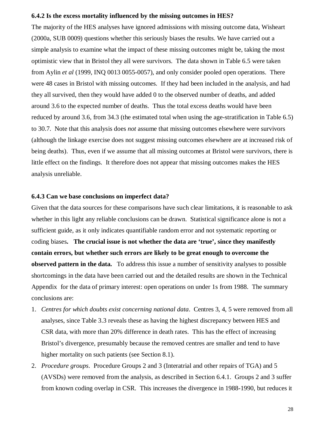#### **6.4.2 Is the excess mortality influenced by the missing outcomes in HES?**

The majority of the HES analyses have ignored admissions with missing outcome data, Wisheart (2000a, SUB 0009) questions whether this seriously biases the results. We have carried out a simple analysis to examine what the impact of these missing outcomes might be, taking the most optimistic view that in Bristol they all were survivors. The data shown in Table 6.5 were taken from Aylin *et al* (1999, INQ 0013 0055-0057), and only consider pooled open operations. There were 48 cases in Bristol with missing outcomes. If they had been included in the analysis, and had they all survived, then they would have added 0 to the observed number of deaths, and added around 3.6 to the expected number of deaths. Thus the total excess deaths would have been reduced by around 3.6, from 34.3 (the estimated total when using the age-stratification in Table 6.5) to 30.7. Note that this analysis does *not* assume that missing outcomes elsewhere were survivors (although the linkage exercise does not suggest missing outcomes elsewhere are at increased risk of being deaths). Thus, even if we assume that all missing outcomes at Bristol were survivors, there is little effect on the findings. It therefore does not appear that missing outcomes makes the HES analysis unreliable.

#### **6.4.3 Can we base conclusions on imperfect data?**

Given that the data sources for these comparisons have such clear limitations, it is reasonable to ask whether in this light any reliable conclusions can be drawn. Statistical significance alone is not a sufficient guide, as it only indicates quantifiable random error and not systematic reporting or coding biases**. The crucial issue is not whether the data are 'true', since they manifestly contain errors, but whether such errors are likely to be great enough to overcome the observed pattern in the data.** To address this issue a number of sensitivity analyses to possible shortcomings in the data have been carried out and the detailed results are shown in the Technical Appendix for the data of primary interest: open operations on under 1s from 1988. The summary conclusions are:

- 1. *Centres for which doubts exist concerning national data*. Centres 3, 4, 5 were removed from all analyses, since Table 3.3 reveals these as having the highest discrepancy between HES and CSR data, with more than 20% difference in death rates. This has the effect of increasing Bristol's divergence, presumably because the removed centres are smaller and tend to have higher mortality on such patients (see Section 8.1).
- 2. *Procedure groups*. Procedure Groups 2 and 3 (Interatrial and other repairs of TGA) and 5 (AVSDs) were removed from the analysis, as described in Section 6.4.1. Groups 2 and 3 suffer from known coding overlap in CSR. This increases the divergence in 1988-1990, but reduces it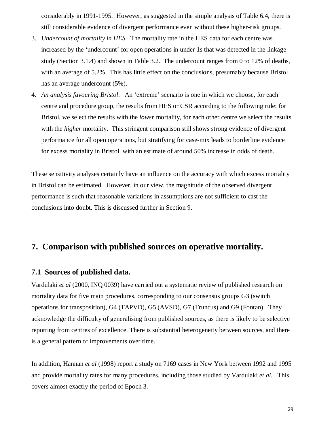considerably in 1991-1995. However, as suggested in the simple analysis of Table 6.4, there is still considerable evidence of divergent performance even without these higher-risk groups.

- 3. *Undercount of mortality in HES*. The mortality rate in the HES data for each centre was increased by the 'undercount' for open operations in under 1s that was detected in the linkage study (Section 3.1.4) and shown in Table 3.2. The undercount ranges from 0 to 12% of deaths, with an average of 5.2%. This has little effect on the conclusions, presumably because Bristol has an average undercount (5%).
- 4. *An analysis favouring Bristol*. An 'extreme' scenario is one in which we choose, for each centre and procedure group, the results from HES or CSR according to the following rule: for Bristol, we select the results with the *lower* mortality, for each other centre we select the results with the *higher* mortality. This stringent comparison still shows strong evidence of divergent performance for all open operations, but stratifying for case-mix leads to borderline evidence for excess mortality in Bristol, with an estimate of around 50% increase in odds of death.

These sensitivity analyses certainly have an influence on the accuracy with which excess mortality in Bristol can be estimated. However, in our view, the magnitude of the observed divergent performance is such that reasonable variations in assumptions are not sufficient to cast the conclusions into doubt. This is discussed further in Section 9.

## **7. Comparison with published sources on operative mortality.**

## **7.1 Sources of published data.**

Vardulaki *et al* (2000, INQ 0039) have carried out a systematic review of published research on mortality data for five main procedures, corresponding to our consensus groups G3 (switch operations for transposition), G4 (TAPVD), G5 (AVSD), G7 (Truncus) and G9 (Fontan). They acknowledge the difficulty of generalising from published sources, as there is likely to be selective reporting from centres of excellence. There is substantial heterogeneity between sources, and there is a general pattern of improvements over time.

In addition, Hannan *et al* (1998) report a study on 7169 cases in New York between 1992 and 1995 and provide mortality rates for many procedures, including those studied by Vardulaki *et al.* This covers almost exactly the period of Epoch 3.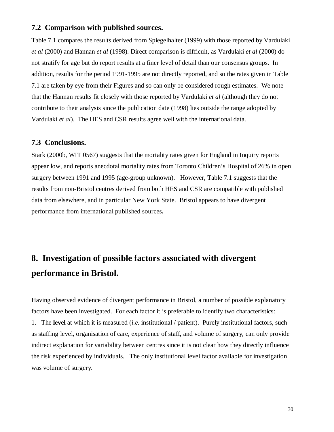## **7.2 Comparison with published sources.**

Table 7.1 compares the results derived from Spiegelhalter (1999) with those reported by Vardulaki *et al* (2000) and Hannan *et al* (1998). Direct comparison is difficult, as Vardulaki *et al* (2000) do not stratify for age but do report results at a finer level of detail than our consensus groups. In addition, results for the period 1991-1995 are not directly reported, and so the rates given in Table 7.1 are taken by eye from their Figures and so can only be considered rough estimates. We note that the Hannan results fit closely with those reported by Vardulaki *et al* (although they do not contribute to their analysis since the publication date (1998) lies outside the range adopted by Vardulaki *et al*). The HES and CSR results agree well with the international data.

### **7.3 Conclusions.**

Stark (2000b, WIT 0567) suggests that the mortality rates given for England in Inquiry reports appear low, and reports anecdotal mortality rates from Toronto Children's Hospital of 26% in open surgery between 1991 and 1995 (age-group unknown). However, Table 7.1 suggests that the results from non-Bristol centres derived from both HES and CSR are compatible with published data from elsewhere, and in particular New York State. Bristol appears to have divergent performance from international published sources*.*

# **8. Investigation of possible factors associated with divergent performance in Bristol.**

Having observed evidence of divergent performance in Bristol, a number of possible explanatory factors have been investigated. For each factor it is preferable to identify two characteristics: 1. The **level** at which it is measured (*i.e.* institutional / patient). Purely institutional factors, such as staffing level, organisation of care, experience of staff, and volume of surgery, can only provide indirect explanation for variability between centres since it is not clear how they directly influence the risk experienced by individuals. The only institutional level factor available for investigation was volume of surgery.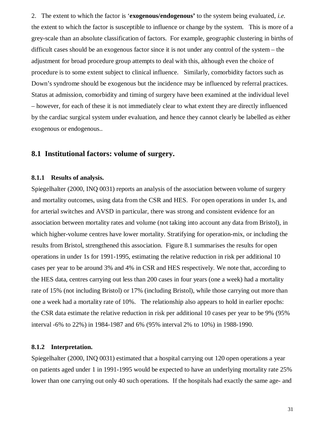2. The extent to which the factor is '**exogenous/endogenous'** to the system being evaluated, *i.e.* the extent to which the factor is susceptible to influence or change by the system. This is more of a grey-scale than an absolute classification of factors. For example, geographic clustering in births of difficult cases should be an exogenous factor since it is not under any control of the system – the adjustment for broad procedure group attempts to deal with this, although even the choice of procedure is to some extent subject to clinical influence. Similarly, comorbidity factors such as Down's syndrome should be exogenous but the incidence may be influenced by referral practices. Status at admission, comorbidity and timing of surgery have been examined at the individual level – however, for each of these it is not immediately clear to what extent they are directly influenced by the cardiac surgical system under evaluation, and hence they cannot clearly be labelled as either exogenous or endogenous..

## **8.1 Institutional factors: volume of surgery.**

#### **8.1.1 Results of analysis.**

Spiegelhalter (2000, INQ 0031) reports an analysis of the association between volume of surgery and mortality outcomes, using data from the CSR and HES. For open operations in under 1s, and for arterial switches and AVSD in particular, there was strong and consistent evidence for an association between mortality rates and volume (not taking into account any data from Bristol), in which higher-volume centres have lower mortality. Stratifying for operation-mix, or including the results from Bristol, strengthened this association. Figure 8.1 summarises the results for open operations in under 1s for 1991-1995, estimating the relative reduction in risk per additional 10 cases per year to be around 3% and 4% in CSR and HES respectively. We note that, according to the HES data, centres carrying out less than 200 cases in four years (one a week) had a mortality rate of 15% (not including Bristol) or 17% (including Bristol), while those carrying out more than one a week had a mortality rate of 10%. The relationship also appears to hold in earlier epochs: the CSR data estimate the relative reduction in risk per additional 10 cases per year to be 9% (95% interval -6% to 22%) in 1984-1987 and 6% (95% interval 2% to 10%) in 1988-1990.

#### **8.1.2 Interpretation.**

Spiegelhalter (2000, INQ 0031) estimated that a hospital carrying out 120 open operations a year on patients aged under 1 in 1991-1995 would be expected to have an underlying mortality rate 25% lower than one carrying out only 40 such operations. If the hospitals had exactly the same age- and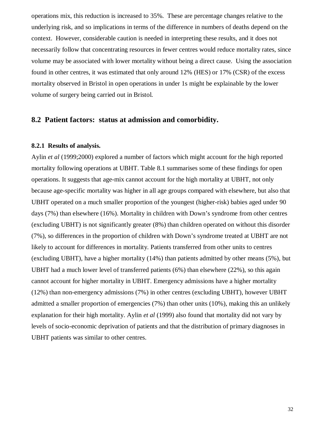operations mix, this reduction is increased to 35%. These are percentage changes relative to the underlying risk, and so implications in terms of the difference in numbers of deaths depend on the context. However, considerable caution is needed in interpreting these results, and it does not necessarily follow that concentrating resources in fewer centres would reduce mortality rates, since volume may be associated with lower mortality without being a direct cause. Using the association found in other centres, it was estimated that only around 12% (HES) or 17% (CSR) of the excess mortality observed in Bristol in open operations in under 1s might be explainable by the lower volume of surgery being carried out in Bristol.

#### **8.2 Patient factors: status at admission and comorbidity.**

#### **8.2.1 Results of analysis.**

Aylin *et al* (1999;2000) explored a number of factors which might account for the high reported mortality following operations at UBHT. Table 8.1 summarises some of these findings for open operations. It suggests that age-mix cannot account for the high mortality at UBHT, not only because age-specific mortality was higher in all age groups compared with elsewhere, but also that UBHT operated on a much smaller proportion of the youngest (higher-risk) babies aged under 90 days (7%) than elsewhere (16%). Mortality in children with Down's syndrome from other centres (excluding UBHT) is not significantly greater (8%) than children operated on without this disorder (7%), so differences in the proportion of children with Down's syndrome treated at UBHT are not likely to account for differences in mortality. Patients transferred from other units to centres (excluding UBHT), have a higher mortality (14%) than patients admitted by other means (5%), but UBHT had a much lower level of transferred patients (6%) than elsewhere (22%), so this again cannot account for higher mortality in UBHT. Emergency admissions have a higher mortality (12%) than non-emergency admissions (7%) in other centres (excluding UBHT), however UBHT admitted a smaller proportion of emergencies (7%) than other units (10%), making this an unlikely explanation for their high mortality. Aylin *et al* (1999) also found that mortality did not vary by levels of socio-economic deprivation of patients and that the distribution of primary diagnoses in UBHT patients was similar to other centres.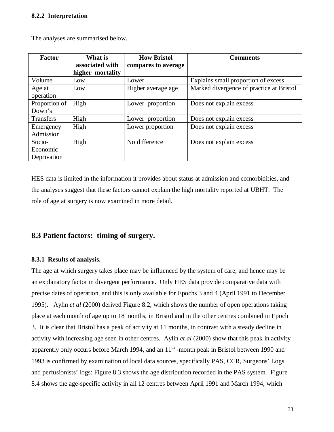#### **8.2.2 Interpretation**

| <b>Factor</b>    | What is          | <b>How Bristol</b>  | <b>Comments</b>                          |
|------------------|------------------|---------------------|------------------------------------------|
|                  | associated with  | compares to average |                                          |
|                  | higher mortality |                     |                                          |
| Volume           | Low              | Lower               | Explains small proportion of excess      |
| Age at           | Low              | Higher average age  | Marked divergence of practice at Bristol |
| operation        |                  |                     |                                          |
| Proportion of    | High             | Lower proportion    | Does not explain excess                  |
| Down's           |                  |                     |                                          |
| <b>Transfers</b> | High             | Lower proportion    | Does not explain excess                  |
| Emergency        | High             | Lower proportion    | Does not explain excess                  |
| Admission        |                  |                     |                                          |
| Socio-           | High             | No difference       | Does not explain excess                  |
| Economic         |                  |                     |                                          |
| Deprivation      |                  |                     |                                          |

The analyses are summarised below.

HES data is limited in the information it provides about status at admission and comorbidities, and the analyses suggest that these factors cannot explain the high mortality reported at UBHT. The role of age at surgery is now examined in more detail.

## **8.3 Patient factors: timing of surgery.**

#### **8.3.1 Results of analysis.**

The age at which surgery takes place may be influenced by the system of care, and hence may be an explanatory factor in divergent performance. Only HES data provide comparative data with precise dates of operation, and this is only available for Epochs 3 and 4 (April 1991 to December 1995). Aylin *et al* (2000) derived Figure 8.2, which shows the number of open operations taking place at each month of age up to 18 months, in Bristol and in the other centres combined in Epoch 3. It is clear that Bristol has a peak of activity at 11 months, in contrast with a steady decline in activity with increasing age seen in other centres. Aylin *et al* (2000) show that this peak in activity apparently only occurs before March 1994, and an  $11<sup>th</sup>$ -month peak in Bristol between 1990 and 1993 is confirmed by examination of local data sources, specifically PAS, CCR, Surgeons' Logs and perfusionists' logs: Figure 8.3 shows the age distribution recorded in the PAS system. Figure 8.4 shows the age-specific activity in all 12 centres between April 1991 and March 1994, which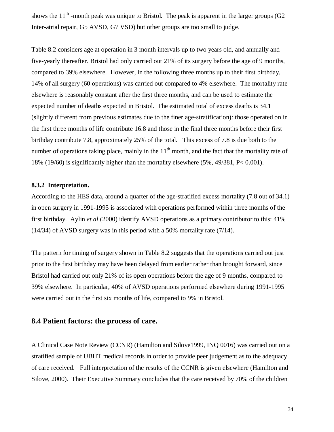shows the 11<sup>th</sup> -month peak was unique to Bristol. The peak is apparent in the larger groups (G2 Inter-atrial repair, G5 AVSD, G7 VSD) but other groups are too small to judge.

Table 8.2 considers age at operation in 3 month intervals up to two years old, and annually and five-yearly thereafter. Bristol had only carried out 21% of its surgery before the age of 9 months, compared to 39% elsewhere. However, in the following three months up to their first birthday, 14% of all surgery (60 operations) was carried out compared to 4% elsewhere. The mortality rate elsewhere is reasonably constant after the first three months, and can be used to estimate the expected number of deaths expected in Bristol. The estimated total of excess deaths is 34.1 (slightly different from previous estimates due to the finer age-stratification): those operated on in the first three months of life contribute 16.8 and those in the final three months before their first birthday contribute 7.8, approximately 25% of the total. This excess of 7.8 is due both to the number of operations taking place, mainly in the  $11<sup>th</sup>$  month, and the fact that the mortality rate of 18% (19/60) is significantly higher than the mortality elsewhere (5%, 49/381, P< 0.001).

#### **8.3.2 Interpretation.**

According to the HES data, around a quarter of the age-stratified excess mortality (7.8 out of 34.1) in open surgery in 1991-1995 is associated with operations performed within three months of the first birthday. Aylin *et al* (2000) identify AVSD operations as a primary contributor to this: 41% (14/34) of AVSD surgery was in this period with a 50% mortality rate (7/14).

The pattern for timing of surgery shown in Table 8.2 suggests that the operations carried out just prior to the first birthday may have been delayed from earlier rather than brought forward, since Bristol had carried out only 21% of its open operations before the age of 9 months, compared to 39% elsewhere. In particular, 40% of AVSD operations performed elsewhere during 1991-1995 were carried out in the first six months of life, compared to 9% in Bristol.

### **8.4 Patient factors: the process of care.**

A Clinical Case Note Review (CCNR) (Hamilton and Silove1999, INQ 0016) was carried out on a stratified sample of UBHT medical records in order to provide peer judgement as to the adequacy of care received. Full interpretation of the results of the CCNR is given elsewhere (Hamilton and Silove, 2000). Their Executive Summary concludes that the care received by 70% of the children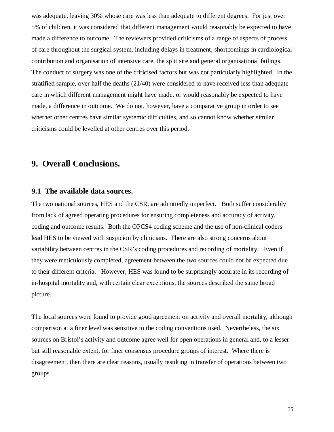was adequate, leaving 30% whose care was less than adequate to different degrees. For just over 5% of children, it was considered that different management would reasonably be expected to have made a difference to outcome. The reviewers provided criticisms of a range of aspects of process of care throughout the surgical system, including delays in treatment, shortcomings in cardiological contribution and organisation of intensive care, the split site and general organisational failings. The conduct of surgery was one of the criticised factors but was not particularly highlighted. In the stratified sample, over half the deaths (21/40) were considered to have received less than adequate care in which different management might have made, or would reasonably be expected to have made, a difference in outcome. We do not, however, have a comparative group in order to see whether other centres have similar systemic difficulties, and so cannot know whether similar criticisms could be levelled at other centres over this period.

## **9. Overall Conclusions.**

## **9.1 The available data sources.**

The two national sources, HES and the CSR, are admittedly imperfect. Both suffer considerably from lack of agreed operating procedures for ensuring completeness and accuracy of activity, coding and outcome results. Both the OPCS4 coding scheme and the use of non-clinical coders lead HES to be viewed with suspicion by clinicians. There are also strong concerns about variability between centres in the CSR's coding procedures and recording of mortality. Even if they were meticulously completed, agreement between the two sources could not be expected due to their different criteria. However, HES was found to be surprisingly accurate in its recording of in-hospital mortality and, with certain clear exceptions, the sources described the same broad picture.

The local sources were found to provide good agreement on activity and overall mortality, although comparison at a finer level was sensitive to the coding conventions used. Nevertheless, the six sources on Bristol's activity and outcome agree well for open operations in general and, to a lesser but still reasonable extent, for finer consensus procedure groups of interest. Where there is disagreement, then there are clear reasons, usually resulting in transfer of operations between two groups.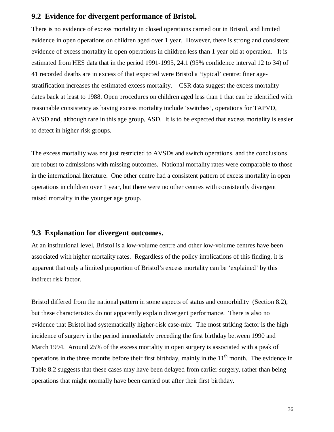## **9.2 Evidence for divergent performance of Bristol.**

There is no evidence of excess mortality in closed operations carried out in Bristol, and limited evidence in open operations on children aged over 1 year. However, there is strong and consistent evidence of excess mortality in open operations in children less than 1 year old at operation. It is estimated from HES data that in the period 1991-1995, 24.1 (95% confidence interval 12 to 34) of 41 recorded deaths are in excess of that expected were Bristol a 'typical' centre: finer agestratification increases the estimated excess mortality. CSR data suggest the excess mortality dates back at least to 1988. Open procedures on children aged less than 1 that can be identified with reasonable consistency as having excess mortality include 'switches', operations for TAPVD, AVSD and, although rare in this age group, ASD. It is to be expected that excess mortality is easier to detect in higher risk groups.

The excess mortality was not just restricted to AVSDs and switch operations, and the conclusions are robust to admissions with missing outcomes. National mortality rates were comparable to those in the international literature. One other centre had a consistent pattern of excess mortality in open operations in children over 1 year, but there were no other centres with consistently divergent raised mortality in the younger age group.

## **9.3 Explanation for divergent outcomes.**

At an institutional level, Bristol is a low-volume centre and other low-volume centres have been associated with higher mortality rates. Regardless of the policy implications of this finding, it is apparent that only a limited proportion of Bristol's excess mortality can be 'explained' by this indirect risk factor.

Bristol differed from the national pattern in some aspects of status and comorbidity (Section 8.2), but these characteristics do not apparently explain divergent performance. There is also no evidence that Bristol had systematically higher-risk case-mix. The most striking factor is the high incidence of surgery in the period immediately preceding the first birthday between 1990 and March 1994. Around 25% of the excess mortality in open surgery is associated with a peak of operations in the three months before their first birthday, mainly in the  $11<sup>th</sup>$  month. The evidence in Table 8.2 suggests that these cases may have been delayed from earlier surgery, rather than being operations that might normally have been carried out after their first birthday.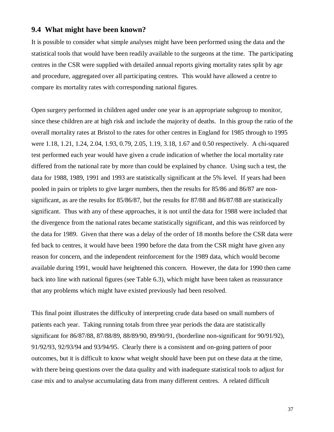## **9.4 What might have been known?**

It is possible to consider what simple analyses might have been performed using the data and the statistical tools that would have been readily available to the surgeons at the time. The participating centres in the CSR were supplied with detailed annual reports giving mortality rates split by age and procedure, aggregated over all participating centres. This would have allowed a centre to compare its mortality rates with corresponding national figures.

Open surgery performed in children aged under one year is an appropriate subgroup to monitor, since these children are at high risk and include the majority of deaths. In this group the ratio of the overall mortality rates at Bristol to the rates for other centres in England for 1985 through to 1995 were 1.18, 1.21, 1.24, 2.04, 1.93, 0.79, 2.05, 1.19, 3.18, 1.67 and 0.50 respectively. A chi-squared test performed each year would have given a crude indication of whether the local mortality rate differed from the national rate by more than could be explained by chance. Using such a test, the data for 1988, 1989, 1991 and 1993 are statistically significant at the 5% level. If years had been pooled in pairs or triplets to give larger numbers, then the results for 85/86 and 86/87 are nonsignificant, as are the results for 85/86/87, but the results for 87/88 and 86/87/88 are statistically significant. Thus with any of these approaches, it is not until the data for 1988 were included that the divergence from the national rates became statistically significant, and this was reinforced by the data for 1989. Given that there was a delay of the order of 18 months before the CSR data were fed back to centres, it would have been 1990 before the data from the CSR might have given any reason for concern, and the independent reinforcement for the 1989 data, which would become available during 1991, would have heightened this concern. However, the data for 1990 then came back into line with national figures (see Table 6.3), which might have been taken as reassurance that any problems which might have existed previously had been resolved.

This final point illustrates the difficulty of interpreting crude data based on small numbers of patients each year. Taking running totals from three year periods the data are statistically significant for 86/87/88, 87/88/89, 88/89/90, 89/90/91, (borderline non-significant for 90/91/92), 91/92/93, 92/93/94 and 93/94/95. Clearly there is a consistent and on-going pattern of poor outcomes, but it is difficult to know what weight should have been put on these data at the time, with there being questions over the data quality and with inadequate statistical tools to adjust for case mix and to analyse accumulating data from many different centres. A related difficult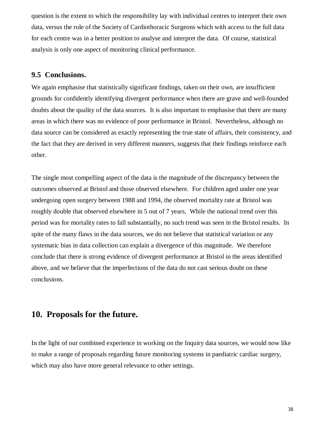question is the extent to which the responsibility lay with individual centres to interpret their own data, versus the role of the Society of Cardiothoracic Surgeons which with access to the full data for each centre was in a better position to analyse and interpret the data. Of course, statistical analysis is only one aspect of monitoring clinical performance.

## **9.5 Conclusions.**

We again emphasise that statistically significant findings, taken on their own, are insufficient grounds for confidently identifying divergent performance when there are grave and well-founded doubts about the quality of the data sources. It is also important to emphasise that there are many areas in which there was no evidence of poor performance in Bristol. Nevertheless, although no data source can be considered as exactly representing the true state of affairs, their consistency, and the fact that they are derived in very different manners, suggests that their findings reinforce each other.

The single most compelling aspect of the data is the magnitude of the discrepancy between the outcomes observed at Bristol and those observed elsewhere. For children aged under one year undergoing open surgery between 1988 and 1994, the observed mortality rate at Bristol was roughly double that observed elsewhere in 5 out of 7 years. While the national trend over this period was for mortality rates to fall substantially, no such trend was seen in the Bristol results. In spite of the many flaws in the data sources, we do not believe that statistical variation or any systematic bias in data collection can explain a divergence of this magnitude. We therefore conclude that there is strong evidence of divergent performance at Bristol in the areas identified above, and we believe that the imperfections of the data do not cast serious doubt on these conclusions.

## **10. Proposals for the future.**

In the light of our combined experience in working on the Inquiry data sources, we would now like to make a range of proposals regarding future monitoring systems in paediatric cardiac surgery, which may also have more general relevance to other settings.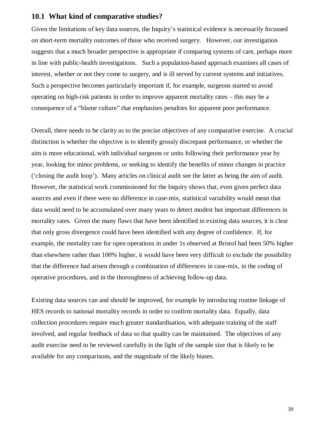## **10.1 What kind of comparative studies?**

Given the limitations of key data sources, the Inquiry's statistical evidence is necessarily focussed on short-term mortality outcomes of those who received surgery. However, our investigation suggests that a much broader perspective is appropriate if comparing systems of care, perhaps more in line with public-health investigations. Such a population-based approach examines all cases of interest, whether or not they come to surgery, and is ill served by current systems and initiatives. Such a perspective becomes particularly important if, for example, surgeons started to avoid operating on high-risk patients in order to improve apparent mortality rates – this may be a consequence of a "blame culture" that emphasises penalties for apparent poor performance.

Overall, there needs to be clarity as to the precise objectives of any comparative exercise. A crucial distinction is whether the objective is to identify grossly discrepant performance, or whether the aim is more educational, with individual surgeons or units following their performance year by year, looking for minor problems, or seeking to identify the benefits of minor changes in practice ('closing the audit loop'). Many articles on clinical audit see the latter as being the aim of audit. However, the statistical work commissioned for the Inquiry shows that, even given perfect data sources and even if there were no difference in case-mix, statistical variability would mean that data would need to be accumulated over many years to detect modest but important differences in mortality rates. Given the many flaws that have been identified in existing data sources, it is clear that only gross divergence could have been identified with any degree of confidence. If, for example, the mortality rate for open operations in under 1s observed at Bristol had been 50% higher than elsewhere rather than 100% higher, it would have been very difficult to exclude the possibility that the difference had arisen through a combination of differences in case-mix, in the coding of operative procedures, and in the thoroughness of achieving follow-up data.

Existing data sources can and should be improved, for example by introducing routine linkage of HES records to national mortality records in order to confirm mortality data. Equally, data collection procedures require much greater standardisation, with adequate training of the staff involved, and regular feedback of data so that quality can be maintained. The objectives of any audit exercise need to be reviewed carefully in the light of the sample size that is likely to be available for any comparisons, and the magnitude of the likely biases.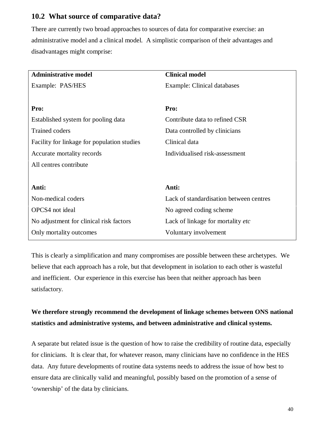## **10.2 What source of comparative data?**

There are currently two broad approaches to sources of data for comparative exercise: an administrative model and a clinical model. A simplistic comparison of their advantages and disadvantages might comprise:

| <b>Administrative model</b>                 | <b>Clinical model</b>                   |  |  |
|---------------------------------------------|-----------------------------------------|--|--|
| Example: PAS/HES                            | <b>Example: Clinical databases</b>      |  |  |
|                                             |                                         |  |  |
| Pro:                                        | Pro:                                    |  |  |
| Established system for pooling data         | Contribute data to refined CSR          |  |  |
| <b>Trained coders</b>                       | Data controlled by clinicians           |  |  |
| Facility for linkage for population studies | Clinical data                           |  |  |
| Accurate mortality records                  | Individualised risk-assessment          |  |  |
| All centres contribute                      |                                         |  |  |
|                                             |                                         |  |  |
| Anti:                                       | Anti:                                   |  |  |
| Non-medical coders                          | Lack of standardisation between centres |  |  |
| <b>OPCS4</b> not ideal                      | No agreed coding scheme                 |  |  |
| No adjustment for clinical risk factors     | Lack of linkage for mortality etc       |  |  |
| Only mortality outcomes                     | Voluntary involvement                   |  |  |

This is clearly a simplification and many compromises are possible between these archetypes. We believe that each approach has a role, but that development in isolation to each other is wasteful and inefficient. Our experience in this exercise has been that neither approach has been satisfactory.

## **We therefore strongly recommend the development of linkage schemes between ONS national statistics and administrative systems, and between administrative and clinical systems.**

A separate but related issue is the question of how to raise the credibility of routine data, especially for clinicians. It is clear that, for whatever reason, many clinicians have no confidence in the HES data. Any future developments of routine data systems needs to address the issue of how best to ensure data are clinically valid and meaningful, possibly based on the promotion of a sense of 'ownership' of the data by clinicians.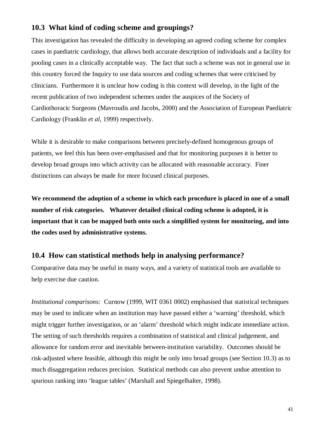## **10.3 What kind of coding scheme and groupings?**

This investigation has revealed the difficulty in developing an agreed coding scheme for complex cases in paediatric cardiology, that allows both accurate description of individuals and a facility for pooling cases in a clinically acceptable way. The fact that such a scheme was not in general use in this country forced the Inquiry to use data sources and coding schemes that were criticised by clinicians. Furthermore it is unclear how coding is this context will develop, in the light of the recent publication of two independent schemes under the auspices of the Society of Cardiothoracic Surgeons (Mavroudis and Jacobs, 2000) and the Association of European Paediatric Cardiology (Franklin *et al*, 1999) respectively.

While it is desirable to make comparisons between precisely-defined homogenous groups of patients, we feel this has been over-emphasised and that for monitoring purposes it is better to develop broad groups into which activity can be allocated with reasonable accuracy. Finer distinctions can always be made for more focused clinical purposes.

**We recommend the adoption of a scheme in which each procedure is placed in one of a small number of risk categories. Whatever detailed clinical coding scheme is adopted, it is important that it can be mapped both onto such a simplified system for monitoring, and into the codes used by administrative systems.**

### **10.4 How can statistical methods help in analysing performance?**

Comparative data may be useful in many ways, and a variety of statistical tools are available to help exercise due caution.

*Institutional comparisons:* Curnow (1999, WIT 0361 0002) emphasised that statistical techniques may be used to indicate when an institution may have passed either a 'warning' threshold, which might trigger further investigation, or an 'alarm' threshold which might indicate immediate action. The setting of such thresholds requires a combination of statistical and clinical judgement, and allowance for random error and inevitable between-institution variability. Outcomes should be risk-adjusted where feasible, although this might be only into broad groups (see Section 10.3) as to much disaggregation reduces precision. Statistical methods can also prevent undue attention to spurious ranking into 'league tables' (Marshall and Spiegelhalter, 1998).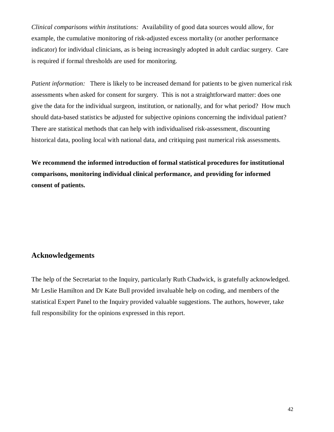*Clinical comparisons within institutions:* Availability of good data sources would allow, for example, the cumulative monitoring of risk-adjusted excess mortality (or another performance indicator) for individual clinicians, as is being increasingly adopted in adult cardiac surgery. Care is required if formal thresholds are used for monitoring.

*Patient information:* There is likely to be increased demand for patients to be given numerical risk assessments when asked for consent for surgery. This is not a straightforward matter: does one give the data for the individual surgeon, institution, or nationally, and for what period? How much should data-based statistics be adjusted for subjective opinions concerning the individual patient? There are statistical methods that can help with individualised risk-assessment, discounting historical data, pooling local with national data, and critiquing past numerical risk assessments.

**We recommend the informed introduction of formal statistical procedures for institutional comparisons, monitoring individual clinical performance, and providing for informed consent of patients.**

### **Acknowledgements**

The help of the Secretariat to the Inquiry, particularly Ruth Chadwick, is gratefully acknowledged. Mr Leslie Hamilton and Dr Kate Bull provided invaluable help on coding, and members of the statistical Expert Panel to the Inquiry provided valuable suggestions. The authors, however, take full responsibility for the opinions expressed in this report.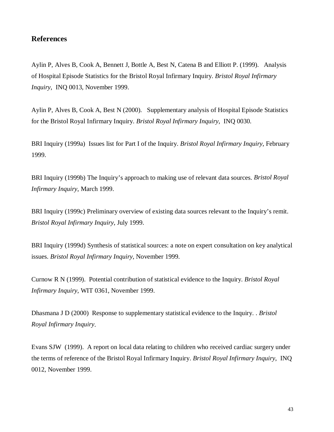## **References**

Aylin P, Alves B, Cook A, Bennett J, Bottle A, Best N, Catena B and Elliott P. (1999). Analysis of Hospital Episode Statistics for the Bristol Royal Infirmary Inquiry. *Bristol Royal Infirmary Inquiry*, INQ 0013, November 1999.

Aylin P, Alves B, Cook A, Best N (2000). Supplementary analysis of Hospital Episode Statistics for the Bristol Royal Infirmary Inquiry. *Bristol Royal Infirmary Inquiry*, INQ 0030.

BRI Inquiry (1999a) Issues list for Part I of the Inquiry. *Bristol Royal Infirmary Inquiry*, February 1999.

BRI Inquiry (1999b) The Inquiry's approach to making use of relevant data sources. *Bristol Royal Infirmary Inquiry*, March 1999.

BRI Inquiry (1999c) Preliminary overview of existing data sources relevant to the Inquiry's remit. *Bristol Royal Infirmary Inquiry*, July 1999.

BRI Inquiry (1999d) Synthesis of statistical sources: a note on expert consultation on key analytical issues. *Bristol Royal Infirmary Inquiry*, November 1999.

Curnow R N (1999). Potential contribution of statistical evidence to the Inquiry. *Bristol Royal Infirmary Inquiry*, WIT 0361, November 1999.

Dhasmana J D (2000) Response to supplementary statistical evidence to the Inquiry. . *Bristol Royal Infirmary Inquiry*.

Evans SJW (1999). A report on local data relating to children who received cardiac surgery under the terms of reference of the Bristol Royal Infirmary Inquiry. *Bristol Royal Infirmary Inquiry*, INQ 0012, November 1999.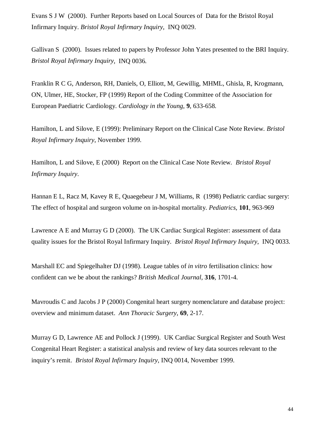Evans S J W (2000). Further Reports based on Local Sources of Data for the Bristol Royal Infirmary Inquiry. *Bristol Royal Infirmary Inquiry*, INQ 0029.

Gallivan S (2000). Issues related to papers by Professor John Yates presented to the BRI Inquiry. *Bristol Royal Infirmary Inquiry*, INQ 0036.

Franklin R C G, Anderson, RH, Daniels, O, Elliott, M, Gewillig, MHML, Ghisla, R, Krogmann, ON, Ulmer, HE, Stocker, FP (1999) Report of the Coding Committee of the Association for European Paediatric Cardiology. *Cardiology in the Young*, **9**, 633-658.

Hamilton, L and Silove, E (1999): Preliminary Report on the Clinical Case Note Review*. Bristol Royal Infirmary Inquiry*, November 1999.

Hamilton, L and Silove, E (2000) Report on the Clinical Case Note Review*. Bristol Royal Infirmary Inquiry*.

Hannan E L, Racz M, Kavey R E, Quaegebeur J M, Williams, R (1998) Pediatric cardiac surgery: The effect of hospital and surgeon volume on in-hospital mortality. *Pediatrics,* **101**, 963-969

Lawrence A E and Murray G D (2000). The UK Cardiac Surgical Register: assessment of data quality issues for the Bristol Royal Infirmary Inquiry. *Bristol Royal Infirmary Inquiry*, INQ 0033.

Marshall EC and Spiegelhalter DJ (1998). League tables of *in vitro* fertilisation clinics: how confident can we be about the rankings? *British Medical Journal*, **316**, 1701-4.

Mavroudis C and Jacobs J P (2000) Congenital heart surgery nomenclature and database project: overview and minimum dataset. *Ann Thoracic Surgery*, **69**, 2-17.

Murray G D, Lawrence AE and Pollock J (1999). UK Cardiac Surgical Register and South West Congenital Heart Register: a statistical analysis and review of key data sources relevant to the inquiry's remit. *Bristol Royal Infirmary Inquiry*, INQ 0014, November 1999.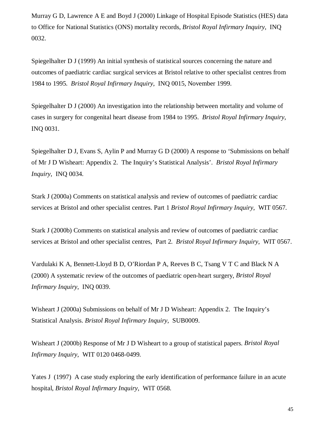Murray G D, Lawrence A E and Boyd J (2000) Linkage of Hospital Episode Statistics (HES) data to Office for National Statistics (ONS) mortality records, *Bristol Royal Infirmary Inquiry*, INQ 0032.

Spiegelhalter D J (1999) An initial synthesis of statistical sources concerning the nature and outcomes of paediatric cardiac surgical services at Bristol relative to other specialist centres from 1984 to 1995. *Bristol Royal Infirmary Inquiry*, INQ 0015, November 1999.

Spiegelhalter D J (2000) An investigation into the relationship between mortality and volume of cases in surgery for congenital heart disease from 1984 to 1995. *Bristol Royal Infirmary Inquiry*, INQ 0031.

Spiegelhalter D J, Evans S, Aylin P and Murray G D (2000) A response to 'Submissions on behalf of Mr J D Wisheart: Appendix 2. The Inquiry's Statistical Analysis'. *Bristol Royal Infirmary Inquiry*, INQ 0034.

Stark J (2000a) Comments on statistical analysis and review of outcomes of paediatric cardiac services at Bristol and other specialist centres. Part 1 *Bristol Royal Infirmary Inquiry*, WIT 0567.

Stark J (2000b) Comments on statistical analysis and review of outcomes of paediatric cardiac services at Bristol and other specialist centres, Part 2. *Bristol Royal Infirmary Inquiry*, WIT 0567.

Vardulaki K A, Bennett-Lloyd B D, O'Riordan P A, Reeves B C, Tsang V T C and Black N A (2000) A systematic review of the outcomes of paediatric open-heart surgery, *Bristol Royal Infirmary Inquiry*, INQ 0039.

Wisheart J (2000a) Submissions on behalf of Mr J D Wisheart: Appendix 2. The Inquiry's Statistical Analysis. *Bristol Royal Infirmary Inquiry*, SUB0009.

Wisheart J (2000b) Response of Mr J D Wisheart to a group of statistical papers. *Bristol Royal Infirmary Inquiry*, WIT 0120 0468-0499.

Yates J (1997) A case study exploring the early identification of performance failure in an acute hospital, *Bristol Royal Infirmary Inquiry*, WIT 0568.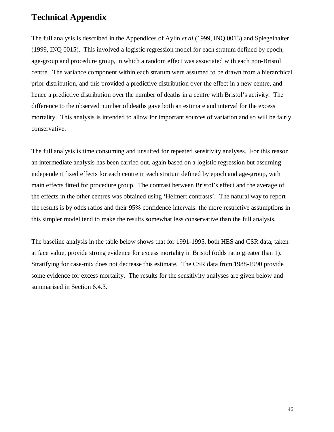## **Technical Appendix**

The full analysis is described in the Appendices of Aylin *et al* (1999, INQ 0013) and Spiegelhalter (1999, INQ 0015). This involved a logistic regression model for each stratum defined by epoch, age-group and procedure group, in which a random effect was associated with each non-Bristol centre. The variance component within each stratum were assumed to be drawn from a hierarchical prior distribution, and this provided a predictive distribution over the effect in a new centre, and hence a predictive distribution over the number of deaths in a centre with Bristol's activity. The difference to the observed number of deaths gave both an estimate and interval for the excess mortality. This analysis is intended to allow for important sources of variation and so will be fairly conservative.

The full analysis is time consuming and unsuited for repeated sensitivity analyses. For this reason an intermediate analysis has been carried out, again based on a logistic regression but assuming independent fixed effects for each centre in each stratum defined by epoch and age-group, with main effects fitted for procedure group. The contrast between Bristol's effect and the average of the effects in the other centres was obtained using 'Helmert contrasts'. The natural way to report the results is by odds ratios and their 95% confidence intervals: the more restrictive assumptions in this simpler model tend to make the results somewhat less conservative than the full analysis.

The baseline analysis in the table below shows that for 1991-1995, both HES and CSR data, taken at face value, provide strong evidence for excess mortality in Bristol (odds ratio greater than 1). Stratifying for case-mix does not decrease this estimate. The CSR data from 1988-1990 provide some evidence for excess mortality. The results for the sensitivity analyses are given below and summarised in Section 6.4.3.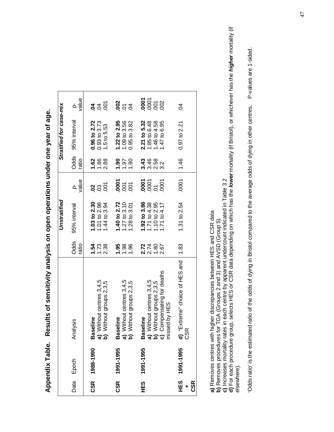|            |               |                                                                                                                                                                                                               |                             | Unstratified                                                 |                                          |                               | Stratified for case-mix                                      |                                           |
|------------|---------------|---------------------------------------------------------------------------------------------------------------------------------------------------------------------------------------------------------------|-----------------------------|--------------------------------------------------------------|------------------------------------------|-------------------------------|--------------------------------------------------------------|-------------------------------------------|
|            | Data Epoch    | alysis<br>ξ                                                                                                                                                                                                   | Odds<br>ratio               | 95% interval                                                 | value                                    | Odds<br>ratio                 | 95% interval                                                 | value<br><u>ა</u>                         |
| CSR        | 1988-1990     | Without centres 3,4,5<br>Without groups 2,3,5<br><b>Iseline</b><br>ក្ខី កូ ក្ន                                                                                                                                | 1.54<br>$1.73$<br>$2.38$    | 1.03 to 2.30<br>1.01 to 2.98<br>1.44 to 3.94                 | $\overline{5}$<br>$\frac{8}{3}$          | 1.62<br>1.86<br>2.88          | 0.96 to 2.72<br>$0.93$ to $3.73$<br>1.5 to 5.53              | δ<br>$\mathfrak{A}$<br><b>PO</b>          |
| CSR        | 1991-1995     | Without centres 3,4,5<br>Without groups 2,3,5<br><b>Iseline</b><br>മ്<br>ัล<br>ล อิ                                                                                                                           | 1.95<br>1.98<br>1.96        | 1.40 to 2.72<br>$1.27$ to $3.10$<br>1.28 to 3.01             | 0001<br>$\overline{0}$<br>$\overline{0}$ | $\frac{6}{1}$<br>1.97<br>1.90 | 1.22 to 2.95<br>1.09 to 3.56<br>$0.95$ to $3.82$             | $\frac{8}{5}$ $\frac{5}{5}$ $\frac{8}{5}$ |
| 1≝9        | 1991-1995     | Compensating for deaths<br>Without centres 3,4,5<br>Without groups 2,3,5<br>ssed by HES<br>seline<br>ő<br>$\widehat{\mathfrak{a}}$ $\widehat{\mathfrak{a}}$ $\widehat{\mathfrak{c}}$ $\widehat{\mathfrak{c}}$ | $27780$<br>$2780$<br>$2780$ | 1.92 to 3.86<br>1.71 to 4.38<br>1.10 to 2.95<br>1.71 to 4.17 | 0001<br>0001<br>0001<br>$\overline{5}$   | 3.43<br>46<br>362<br>323      | 2.21 to 5.32<br>1.85 to 6.48<br>1.46 to 4.58<br>1.47 to 6.95 | 88888                                     |
| <b>CSR</b> | HES 1991-1995 | "Extreme" choice of HES and<br>$rac{1}{2}$<br>$rac{1}{2}$                                                                                                                                                     | 1.83                        | 1.31 to 2.54                                                 | .0001                                    | 1.46                          | $0.97$ to $2.21$                                             | S.                                        |

Appendix Table. Results of sensitivity analysis on open operations under one year of age. **Appendix Table. Results of sensitivity analysis on open operations under one year of age.**

**a)** Removes centres with higher discrepancies between HES and CSR data

**b)** Removes procedures for TGA (Groups 2 and 3) and AVSD (Group 5).

**c)** Increases mortality rates in each centre by apparent undercount indicated in Table 3.2

a) Removes centres with higher discrepancies between HES and CSR data<br>b) Removes procedures for TGA (Groups 2 and 3) and AVSD (Group 5).<br>c) Increases mortality rates in each centre by apparent undercount indicated in Table **d)** For each procedure group, selects HES or CSR data depending on which has the **lower** mortality (if Bristol), or whichever has the **higher** mortality (if elsewhere). elsewhere).

P-values are 1-sided. 'Odds ratio' is the estimated ratio of the odds of dying in Bristol compared to the average odds of dying in other centres. P-values are 1-sided.'Odds ratio' is the estimated ratio of the odds of dying in Bristol compared to the average odds of dying in other centres.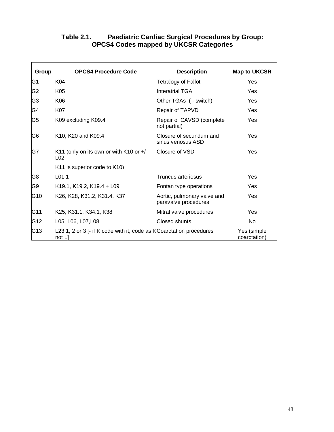| Group          | <b>OPCS4 Procedure Code</b>                                                    | <b>Description</b>                                  | <b>Map to UKCSR</b>         |
|----------------|--------------------------------------------------------------------------------|-----------------------------------------------------|-----------------------------|
| G1             | K04                                                                            | <b>Tetralogy of Fallot</b>                          | Yes                         |
| G2             | K05                                                                            | <b>Interatrial TGA</b>                              | <b>Yes</b>                  |
| G <sub>3</sub> | K06                                                                            | Other TGAs ( - switch)                              | Yes                         |
| G4             | <b>K07</b>                                                                     | Repair of TAPVD                                     | Yes                         |
| G5             | K09 excluding K09.4                                                            | Repair of CAVSD (complete<br>not partial)           | <b>Yes</b>                  |
| G6             | K10, K20 and K09.4                                                             | Closure of secundum and<br>sinus venosus ASD        | Yes                         |
| G7             | K11 (only on its own or with K10 or $+/-$<br>L02;                              | Closure of VSD                                      | Yes                         |
|                | K11 is superior code to K10)                                                   |                                                     |                             |
| G8             | L <sub>01.1</sub>                                                              | <b>Truncus arteriosus</b>                           | Yes                         |
| G9             | K19.1, K19.2, K19.4 + L09                                                      | Fontan type operations                              | <b>Yes</b>                  |
| G10            | K26, K28, K31.2, K31.4, K37                                                    | Aortic, pulmonary valve and<br>paravalve procedures | Yes                         |
| G11            | K25, K31.1, K34.1, K38                                                         | Mitral valve procedures                             | Yes                         |
| G12            | L05, L06, L07, L08                                                             | Closed shunts                                       | <b>No</b>                   |
| G13            | L23.1, 2 or 3 [- if K code with it, code as K Coarctation procedures<br>not L] |                                                     | Yes (simple<br>coarctation) |

## **Table 2.1. Paediatric Cardiac Surgical Procedures by Group: OPCS4 Codes mapped by UKCSR Categories**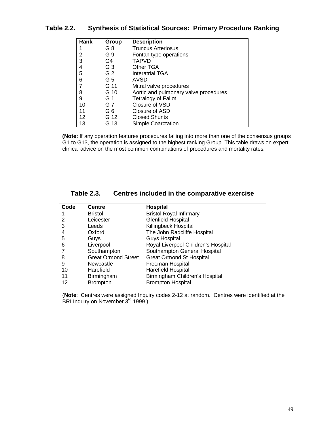| Rank | Group          | <b>Description</b>                    |
|------|----------------|---------------------------------------|
|      | G 8            | <b>Truncus Arteriosus</b>             |
| 2    | G 9            | Fontan type operations                |
| 3    | G4             | <b>TAPVD</b>                          |
| 4    | G <sub>3</sub> | Other TGA                             |
| 5    | G <sub>2</sub> | <b>Interatrial TGA</b>                |
| 6    | G 5            | AVSD                                  |
| 7    | G 11           | Mitral valve procedures               |
| 8    | G 10           | Aortic and pulmonary valve procedures |
| 9    | G 1            | <b>Tetralogy of Fallot</b>            |
| 10   | G 7            | Closure of VSD                        |
| 11   | G 6            | Closure of ASD                        |
| 12   | G 12           | <b>Closed Shunts</b>                  |
| 13   | G 13           | <b>Simple Coarctation</b>             |

## **Table 2.2. Synthesis of Statistical Sources: Primary Procedure Ranking**

**(Note:** If any operation features procedures falling into more than one of the consensus groups G1 to G13, the operation is assigned to the highest ranking Group. This table draws on expert clinical advice on the most common combinations of procedures and mortality rates.

| Code | <b>Centre</b>              | <b>Hospital</b>                     |
|------|----------------------------|-------------------------------------|
|      | <b>Bristol</b>             | <b>Bristol Royal Infirmary</b>      |
| 2    | Leicester                  | <b>Glenfield Hospital</b>           |
| 3    | Leeds                      | Killingbeck Hospital                |
|      | Oxford                     | The John Radcliffe Hospital         |
| 5    | Guys                       | <b>Guys Hospital</b>                |
| 6    | Liverpool                  | Royal Liverpool Children's Hospital |
|      | Southampton                | Southampton General Hospital        |
| 8    | <b>Great Ormond Street</b> | <b>Great Ormond St Hospital</b>     |
| 9    | Newcastle                  | Freeman Hospital                    |
| 10   | Harefield                  | Harefield Hospital                  |
| 11   | Birmingham                 | Birmingham Children's Hospital      |
| 12   | <b>Brompton</b>            | <b>Brompton Hospital</b>            |

| <b>Table 2.3.</b> | Centres included in the comparative exercise |  |
|-------------------|----------------------------------------------|--|
|-------------------|----------------------------------------------|--|

(**Note**: Centres were assigned Inquiry codes 2-12 at random. Centres were identified at the BRI Inquiry on November 3<sup>rd</sup> 1999.)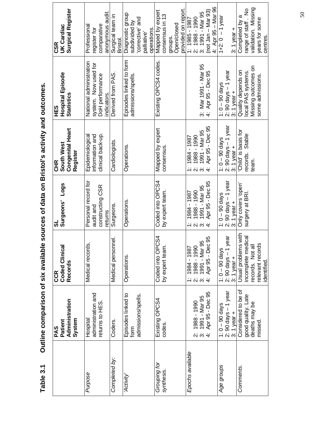| Surgical Register<br><b>UK Cardiac</b><br><b>CSR</b>            | anonymous audit<br>comparative<br>Professional<br>register for                   | Surgical team in<br>Bristol. | Diagnostic group<br>corrective' and<br>subdivided by<br>operations.<br>palliative' | provided on report.<br>Mapped by expert<br>consensus in 13<br>groups.<br>Open/closed | 4: Apr 95 - Mar 96<br>$($ not Jan – Mar 93)<br>2: 1988 - 1990<br>3: 1991 - Mar 95<br>1: 1986 - 386                                | 1+2: $0 - 1$ year<br>$3:1$ year +                                | validation. Missing<br>range of staff. No<br>Completed by a<br>years for some<br>centres.        |
|-----------------------------------------------------------------|----------------------------------------------------------------------------------|------------------------------|------------------------------------------------------------------------------------|--------------------------------------------------------------------------------------|-----------------------------------------------------------------------------------------------------------------------------------|------------------------------------------------------------------|--------------------------------------------------------------------------------------------------|
| Hospital Episode<br><b>Statistics</b><br>HES                    | National administration<br>system. Now used for<br>DoH performance<br>ndicators. | Derived from PAS.            | Episodes linked to form<br>admissions/spells.                                      | Existing OPCS4 codes.                                                                | 3: Mar 1991 - Mar 95<br>4: Apr 95 - Dec 95<br>Apr 95 - Dec 95                                                                     | $2: 90$ days $-1$ year<br>$1: 0 - 90$ days<br>3: $1$ year $+$    | Missing outcomes on<br>Quality depends on<br>local PAS systems.<br>some admissions.              |
| <b>Congenital Heart</b><br>South West<br>Register<br><b>CHR</b> | clinical back-up.<br>information and<br>Epidemiological                          | Cardiologists.               | Operations.                                                                        | Mapped by expert<br>consensus                                                        | Apr 95 - Dec 95<br>1991 - Mar 95<br>1988 - 1990<br>1984 - 1987<br>$\div$<br>$\ddot{\alpha}$ $\ddot{\alpha}$ $\ddot{\dot{\alpha}}$ | $2: 90$ days $-1$ year<br>$1: 0 - 90$ days<br>3: $1$ year $+$    | Child' is basis for<br>ecords. Stable<br>team.                                                   |
| Logs<br><b>Surgeons'</b><br>ಪ                                   | Personal record for<br>constructing CSR<br>audit and<br>returns                  | Surgeons.                    | Operations.                                                                        | Coded into OPCS4<br>by expert team.                                                  | Apr 95 - Dec 95<br>1991 - Mar 95<br>1988 - 1990<br>1984 - 1987<br>$\div$<br>$\ddot{\alpha}$ $\ddot{\alpha}$ $\ddot{\alpha}$       | $2: 90$ days $-1$ year<br>$1: 0 - 90$ days<br>$3: 1$ year +      | Only covers 'open'<br>surgery at BRI.                                                            |
| <b>Coded Clinical</b><br>Records<br><b>CCR</b>                  | <u>ທ່</u><br>Medical record                                                      | Medical personnel.           | Operations.                                                                        | Coded into OPCS4<br>by expert team                                                   | 0.05<br>1991 - Mar 95<br>1988 - 1990<br>1984 - 1987<br>Apr 95 - De<br>$\ddot{\alpha}$ $\ddot{\alpha}$ $\ddot{\alpha}$             | year<br>$1: 0 - 90$ days<br>$2: 90$ days $-1$<br>$3: 1$ year $+$ | Usual problems with<br>incomplete medical<br>relevant records<br>records. Not all<br>identified. |
| Administration<br>System<br>Patient<br>PAS                      | administration and<br>returns to HES<br>Hospital                                 | Coders.                      | Episodes linked to<br>admissions/spells.<br>form                                   | Existing OPCS4<br>codes.                                                             | Apr 95 - Dec 95<br>2: 1988 - 1990<br>3: 1991 - Mar 95<br>4: Apr 95 - Dec 95<br>1988 - 1990                                        | $2: 90$ days $-1$ year<br>$1:0 - 90$ days<br>3: $1$ year $+$     | Considered to be of<br>good quality. Late<br>deaths may be<br>missed.                            |
|                                                                 | Purpose                                                                          | Completed by:                | 'Activity'                                                                         | Grouping for<br>synthesis.                                                           | Epochs available                                                                                                                  | Age groups                                                       | Comments.                                                                                        |

Outline comparison of six available sources of data on Bristol's activity and outcomes. **Table 3.1 Outline comparison of six available sources of data on Bristol's activity and outcomes.** Table 3.1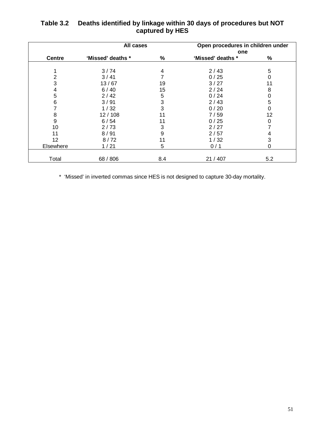|               | All cases         |     | Open procedures in children under |     |
|---------------|-------------------|-----|-----------------------------------|-----|
|               |                   |     | one                               |     |
| <b>Centre</b> | 'Missed' deaths * | ℅   | 'Missed' deaths *                 | %   |
|               |                   |     |                                   |     |
|               | 3/74              | 4   | 2/43                              | 5   |
| 2             | 3/41              |     | 0/25                              | 0   |
| 3             | 13/67             | 19  | 3/27                              | 11  |
| 4             | 6/40              | 15  | 2/24                              | 8   |
| 5             | 2/42              | 5   | 0/24                              | 0   |
| 6             | 3/91              | 3   | 2/43                              | 5   |
|               | 1/32              | 3   | 0/20                              | 0   |
| 8             | 12/108            | 11  | 7/59                              | 12  |
| 9             | 6/54              | 11  | 0/25                              | 0   |
| 10            | 2/73              | 3   | 2/27                              |     |
| 11            | 8/91              | 9   | 2/57                              | 4   |
| 12            | 8/72              | 11  | 1/32                              | 3   |
| Elsewhere     | 1/21              | 5   | 0/1                               | 0   |
|               |                   |     |                                   |     |
| Total         | 68 / 806          | 8.4 | 21 / 407                          | 5.2 |

## **Table 3.2 Deaths identified by linkage within 30 days of procedures but NOT captured by HES**

\* 'Missed' in inverted commas since HES is not designed to capture 30-day mortality.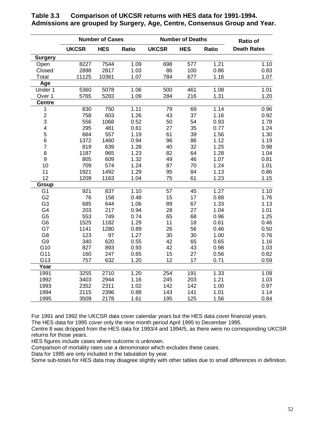|                         |              | <b>Number of Cases</b> |       |              | <b>Number of Deaths</b> |       | <b>Ratio of</b>    |
|-------------------------|--------------|------------------------|-------|--------------|-------------------------|-------|--------------------|
|                         | <b>UKCSR</b> | <b>HES</b>             | Ratio | <b>UKCSR</b> | <b>HES</b>              | Ratio | <b>Death Rates</b> |
| <b>Surgery</b>          |              |                        |       |              |                         |       |                    |
| Open                    | 8227         | 7544                   | 1.09  | 698          | 577                     | 1.21  | 1.10               |
| Closed                  | 2898         | 2817                   | 1.03  | 86           | 100                     | 0.86  | 0.83               |
| Total                   | 11125        | 10361                  | 1.07  | 784          | 677                     | 1.16  | 1.07               |
| Age                     |              |                        |       |              |                         |       |                    |
| Under 1                 | 5360         | 5078                   | 1.06  | 500          | 461                     | 1.08  | 1.01               |
| Over 1                  | 5765         | 5283                   | 1.09  | 284          | 216                     | 1.31  | 1.20               |
| <b>Centre</b>           |              |                        |       |              |                         |       |                    |
| 1                       | 830          | 750                    | 1.11  | 79           | 69                      | 1.14  | 0.96               |
| $\sqrt{2}$              | 758          | 603                    | 1.26  | 43           | 37                      | 1.16  | 0.92               |
| 3                       | 556          | 1068                   | 0.52  | 50           | 54                      | 0.93  | 1.78               |
| $\overline{\mathbf{4}}$ | 295          | 481                    | 0.61  | 27           | 35                      | 0.77  | 1.24               |
| 5                       | 664          | 557                    | 1.19  | 61           | 39                      | 1.56  | 1.30               |
| $\,6$                   | 1372         | 1460                   | 0.94  | 96           | 86                      | 1.12  | 1.19               |
| $\overline{7}$          | 819          | 639                    | 1.28  | 40           | 32                      | 1.25  | 0.98               |
| $\bf 8$                 | 1187         | 965                    | 1.23  | 82           | 64                      | 1.28  | 1.04               |
| $\boldsymbol{9}$        | 805          | 609                    | 1.32  | 49           | 46                      | 1.07  | 0.81               |
| 10                      | 709          | 574                    | 1.24  | 87           | 70                      | 1.24  | 1.01               |
| 11                      | 1921         | 1492                   | 1.29  | 95           | 84                      | 1.13  | 0.86               |
| 12                      | 1209         | 1163                   | 1.04  | 75           | 61                      | 1.23  | 1.15               |
| Group                   |              |                        |       |              |                         |       |                    |
| G <sub>1</sub>          | 921          | 837                    | 1.10  | 57           | 45                      | 1.27  | 1.10               |
| G <sub>2</sub>          | 76           | 158                    | 0.48  | 15           | 17                      | 0.88  | 1.76               |
| G <sub>3</sub>          | 685          | 644                    | 1.06  | 89           | 67                      | 1.33  | 1.13               |
| G4                      | 203          | 217                    | 0.94  | 28           | 27                      | 1.04  | 1.01               |
| G <sub>5</sub>          | 553          | 749                    | 0.74  | 65           | 68                      | 0.96  | 1.25               |
| G <sub>6</sub>          | 1525         | 1182                   | 1.29  | 11           | 18                      | 0.61  | 0.46               |
| G7                      | 1141         | 1280                   | 0.89  | 26           | 56                      | 0.46  | 0.50               |
| G <sub>8</sub>          | 123          | 97                     | 1.27  | 30           | 30                      | 1.00  | 0.76               |
| G <sub>9</sub>          | 340          | 620                    | 0.55  | 42           | 65                      | 0.65  | 1.16               |
| G10                     | 827          | 893                    | 0.93  | 42           | 43                      | 0.98  | 1.03               |
| G11                     | 160          | 247                    | 0.65  | 15           | 27                      | 0.56  | 0.82               |
| G13                     | 757          | 632                    | 1.20  | 12           | 17                      | 0.71  | 0.59               |
| Year                    |              |                        |       |              |                         |       |                    |
| 1991                    | 3255         | 2710                   | 1.20  | 254          | 191                     | 1.33  | 1.09               |
| 1992                    | 3403         | 2944                   | 1.16  | 245          | 203                     | 1.21  | 1.03               |
| 1993                    | 2352         | 2311                   | 1.02  | 142          | 142                     | 1.00  | 0.97               |
| 1994                    | 2115         | 2396                   | 0.88  | 143          | 141                     | 1.01  | 1.14               |
| 1995                    | 3509         | 2178                   | 1.61  | 195          | 125                     | 1.56  | 0.84               |

**Table 3.3 Comparison of UKCSR returns with HES data for 1991-1994. Admissions are grouped by Surgery, Age, Centre, Consensus Group and Year.**

For 1991 and 1992 the UKCSR data cover calendar years but the HES data cover financial years.

The HES data for 1995 cover only the nine month period April 1995 to December 1995.

Centre 8 was dropped from the HES data for 1993/4 and 1994/5, as there were no corresponding UKCSR returns for those years.

HES figures include cases where outcome is unknown.

Comparison of mortality rates use a denominator which excludes these cases.

Data for 1995 are only included in the tabulation by year.

Some sub-totals for HES data may disagree slightly with other tables due to small differences in definition.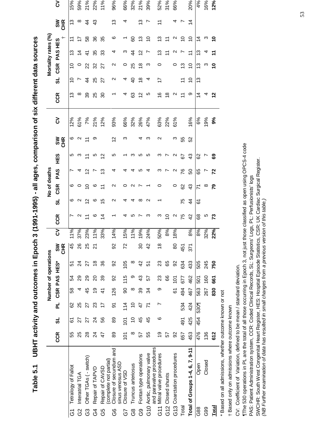|               |                                                     |                |                  |                |         |                  | Number of operations |                |     |                   |                    | No of deaths       |                   |                   |                  |     |                |                 |                      | Mortality rates (%) |                       |                                                              |          |
|---------------|-----------------------------------------------------|----------------|------------------|----------------|---------|------------------|----------------------|----------------|-----|-------------------|--------------------|--------------------|-------------------|-------------------|------------------|-----|----------------|-----------------|----------------------|---------------------|-----------------------|--------------------------------------------------------------|----------|
|               |                                                     | <b>CCR</b>     | ದ                | 군              | CSR PAS |                  | Š∃H                  | శ్<br>또<br>5   | 3   | <b>CCR</b>        | ದ                  | <b>CSR</b>         | PAS               | 9HH               | SHR<br>CHR       | 3   | <b>CCR</b>     | ದ               | <b>CSR</b>           | PAS HES             | ÷                     | SN<br>CHR                                                    | <u>პ</u> |
| δ             | Tetralogy of Fallot                                 | 55             | <u>৯</u>         | 8              | 58      | 54               | 5                    | $\frac{45}{5}$ | 11% | r                 | ဖ                  | ဖ                  |                   | Ю                 | ဖ                | 12% | ౖ              | ₽               | S                    | <u>ო</u>            | $\stackrel{+}{\cdot}$ | 13                                                           | 15%      |
| 3S            | Interatrial TGA                                     | 25             | 22               | 25             | 4       | 29               | $\overline{2}$       | 26             | 37% |                   |                    |                    |                   | ო                 | N                | 61% | ∞              |                 | $\circ$              | $\overline{4}$      |                       | ∞                                                            | 59%      |
| යි            | Other TGAs (-switch)                                | $28$           | 27               | 27             | 45      | 29               | 27                   | 25             | 23% |                   | $\overline{c}$     | ₽                  | $\overline{2}$    |                   | Ξ                | 7%  | 39             | $\ddot{4}$      | 22                   | $\frac{4}{1}$       | 89                    | $\ddot{4}$                                                   | 21%      |
| G4            | Repair of TAPVD                                     | $\overline{2}$ | 24               | $\mathbf{z}$   | Q)      | $\overline{c}$   | $\frac{8}{1}$        | <u>ম</u>       | 11% | ဖ                 | ဖ                  | ဖ                  |                   | Ю                 | တ                | 21% | 25             | 25              | 32                   | 35                  | 36                    | $\frac{3}{4}$                                                | 22%      |
| G5            | Repair of CAVSD                                     | 47             | 99               | 17             | 4       | 39               | 36                   |                | 33% | $\overline{4}$    | $\frac{5}{3}$      | $\overline{1}$     | $\frac{3}{2}$     | $\overline{2}$    |                  | 12% | 30             | 27              | 27                   | 33                  | 35                    |                                                              | 11%      |
| 8G            | Closure of secundum and<br>(complete not partial)   | 89             | 89               | ଚ              | 126     | 92               | 92                   | 8              | 14% |                   | N                  | $\scriptstyle\sim$ | 4                 | Ю                 | $\overline{2}$   | 93% |                | $\mathbf{\sim}$ | $\scriptstyle\sim$   | 4                   | ဖ                     | చ                                                            | 96%      |
| 55            | sinus venosus ASD<br>Closure of VSD                 | $\overline{5}$ | $\overline{101}$ | 114            | 90      | 115              | 105                  | 22             | 15% | 4                 | 4                  | 0                  | ↴                 |                   | ო                | 66% |                | 4               | 0                    | ო                   |                       | 4                                                            | 66%      |
| 89            | Truncus arteriosus                                  | ∞              | S                | \$             | ∞       | თ                | ∞                    |                | 11% | Ю                 | 4                  | $\scriptstyle\sim$ | ⅎ                 | ო                 |                  | 32% | යි             | $\overline{a}$  | 25                   | $\overline{4}$      | 8                     |                                                              | 32%      |
| <b>၉၅</b>     | Fontan type operations                              | 57             | 45               | $\overline{4}$ | 39      | 43               | 42                   | 80             | 19% |                   | ∞                  |                    | ഥ                 | LO                | 4                | 26% | $\tilde{c}$    | $\frac{8}{1}$   | $\frac{8}{1}$        | $\frac{2}{3}$       | ≌                     | 13                                                           | 21%      |
| $\frac{0}{2}$ | Aortic, pulmonary valve                             | 55             | 45               |                | 34      | 55               | 5                    | $\frac{2}{3}$  | 24% | ო                 | $\scriptstyle\sim$ |                    | ↴                 | Ю                 | ო                | 47% | ഥ              | 4               | ო                    |                     | S                     |                                                              | 39%      |
| G11           | and paravalve procedures<br>Mitral valve procedures | 67             | ဖ                |                | တ       | 23               | 23                   | $\frac{8}{3}$  | 50% | ო                 |                    | 0                  | ო                 | ო                 | $\mathbf \Omega$ | 63% | $\frac{6}{1}$  | 17              | 0                    | <u>ო</u>            | <u>ო</u>              | $\stackrel{\textstyle\scriptstyle\smile}{\scriptstyle\cdot}$ | 52%      |
|               | G12 Closed shunts                                   | 57             |                  |                |         | 89               | 65                   |                | 8%  | $\overline{C}$    |                    |                    |                   |                   |                  | 22% | $\frac{8}{1}$  |                 |                      |                     | Ξ                     |                                                              | 31%      |
|               | G13 Coarctation procedures                          | 92             |                  |                | 61      | $\overline{101}$ | 92                   | 80             | 18% | $\mathbf{\Omega}$ |                    | 0                  | $\mathbf{\Omega}$ | $\mathbf{\Omega}$ | ო                | 61% |                |                 | 0                    | ∾                   | $\mathbf{\Omega}$     | 4                                                            | 66%      |
| Total         |                                                     | 657            | 491              | 534            | 494     | 577              | 634                  | 451            |     | 75                | 75                 | 8                  | 76                | 57                | 55               |     | $\tilde{\tau}$ | $\tilde{t}$     | 13                   |                     | ٥,                    |                                                              |          |
|               | Total of Groups 1-4, $6, 7, 9-11$                   | 453            | 425              | 424            | 467     | 462              | 433                  | $\frac{5}{3}$  | 8%  | 42                | $\overline{4}$     | $\frac{3}{4}$      | 50                | 43                | 52               | 16% | თ              | $\overline{C}$  | $\overline{C}$       | $\tilde{t}$         | $\overline{C}$        | 4                                                            | 20%      |
| G88           | Open                                                | 476            | 454              | 5301           | 563     | 501              | 505                  |                | 8%  | 89                | 61                 | Σ                  | 89                | 29                |                  | 6%  | 4              | 13              | <u>ლ</u>             | 13                  | $\dot{4}$             |                                                              | 4%       |
| G99           | Closed                                              | 136            |                  |                | 267     | 160              | 245                  |                | 32% | Ю                 |                    | ∞                  |                   |                   |                  | 19% |                |                 | က                    | 4                   | ო                     |                                                              | 16%      |
| Total         |                                                     | 612            |                  |                | 830     | 661              | 750                  |                | 22% | 73                |                    | 54                 | 72                | အ                 |                  | 9%  | <u>은</u>       |                 | $\tilde{\mathbf{c}}$ |                     | S                     |                                                              | 12%      |
|               |                                                     |                |                  |                |         |                  |                      |                |     |                   |                    |                    |                   |                   |                  |     |                |                 |                      |                     |                       |                                                              |          |

\* Based on all admissions, whether outcome known or not \* Based on all admissions, whether outcome known or not

t Based only on admissions where outcome known † Based only on admissions where outcome known

CV: Coefficient of Variation, defined to be mean / standard deviation. CV: Coefficient of Variation, defined to be mean / standard deviation.

The 530 operations in PL are the total of all those occurring in Epoch 3, not just those classified as open using OPCS-4 code ¶The 530 operations in PL are the total of all those occurring in Epoch 3, not just those classified as open using OPCS-4 code

PAS: Patient Administration system, CCR: Coded Clinical Records, SL: Surgeons' Logs, PL: Perfusionists' logs PAS: Patient Administration system, CCR: Coded Clinical Records, SL: Surgeons' Logs, PL: Perfusionists' logs

SWCHR: South West Congenital Heart Register, HES: Hospital Episode Statistics, CSR: UK Cardiac Surgical Register.<br>(NB Further examination of data has resulted in small changes from a previous version of this table.) SWCHR: South West Congenital Heart Register, HES: Hospital Episode Statistics, CSR: UK Cardiac Surgical Register. (NB Further examination of data has resulted in small changes from a previous version of this table.)

UBHT activity and outcomes in Epoch 3 (1991-1995) - all ages, comparison of six different data sources **Table 5.1 UBHT activity and outcomes in Epoch 3 (1991-1995) - all ages, comparison of six different data sources** Table 5.1

53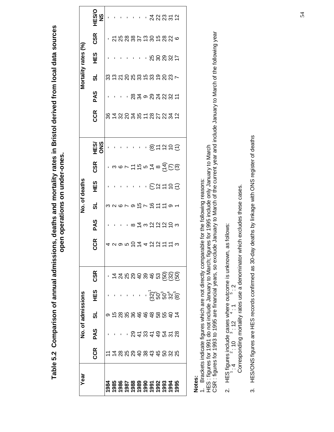Table 5.2 Comparison of annual admissions, deaths and mortality rates in Bristol derived from local data sources **Table 5.2 Comparison of annual admissions, deaths and mortality rates in Bristol derived from local data sources** open operations on under-ones. **open operations on under-ones.**

| Year       |                           |          | No. of admissions |             |                                |              |                    |               | No. of deaths |                                                                                                                                                      |            |            |                                          |                             | Mortality rates (%) |                    |                              |
|------------|---------------------------|----------|-------------------|-------------|--------------------------------|--------------|--------------------|---------------|---------------|------------------------------------------------------------------------------------------------------------------------------------------------------|------------|------------|------------------------------------------|-----------------------------|---------------------|--------------------|------------------------------|
|            | CCR                       | PAS      | ສ່                | 9HH         | <b>CSR</b>                     | <b>CR</b>    | PAS                | ಕ             | HES           | CSR                                                                                                                                                  | SNO<br>ORD | <b>CCR</b> | PAS                                      | ಕ                           | <b>HES</b>          | <b>CSR</b>         | <b>DONE</b><br>$\frac{8}{5}$ |
| <b>984</b> |                           |          |                   |             |                                |              |                    |               |               |                                                                                                                                                      |            |            |                                          |                             |                     |                    |                              |
| 985        | # 2 2 2 3 3 3 4 5 6 2 5 2 |          |                   |             |                                | 429504422173 |                    | 32679つ7伯11191 |               |                                                                                                                                                      |            |            |                                          | 83 12 5 8 8 9 5 8 9 9 9 7 7 |                     |                    |                              |
| 986        |                           |          |                   |             |                                |              |                    |               |               |                                                                                                                                                      |            |            |                                          |                             |                     |                    |                              |
| 987        |                           |          |                   |             |                                |              |                    |               |               |                                                                                                                                                      |            |            |                                          |                             |                     |                    |                              |
|            |                           |          |                   |             |                                |              |                    |               |               |                                                                                                                                                      |            |            |                                          |                             |                     |                    |                              |
|            |                           |          |                   |             |                                |              |                    |               |               |                                                                                                                                                      |            |            |                                          |                             |                     |                    |                              |
|            |                           |          |                   |             |                                |              |                    |               |               |                                                                                                                                                      |            |            |                                          |                             |                     |                    |                              |
|            |                           | 24344528 |                   |             |                                |              | ・ ∞ は ∞ 12 12 12 m |               |               |                                                                                                                                                      |            |            | • ឌូឝູ៰៓៓៓៓៓៓៓៓៓៓៓៓៓៓៹៓៓៓៓៓៓៓៓៓៓៓៓៓៓៓៓៓៓ |                             |                     | <b>があるのかおもののかる</b> |                              |
|            |                           |          |                   |             |                                |              |                    |               |               |                                                                                                                                                      |            |            |                                          |                             |                     |                    |                              |
|            |                           |          |                   |             |                                |              |                    |               |               |                                                                                                                                                      |            |            |                                          |                             |                     |                    |                              |
|            |                           |          |                   |             |                                |              |                    |               |               |                                                                                                                                                      |            |            |                                          |                             |                     |                    |                              |
|            |                           |          |                   | ង្ហ ូន ។ ទូ | 4400000000000<br>4400000000000 |              |                    |               | $-EXE$        | $\cdot$ a $\in$ $\sim$ $\pm$ $\approx$ $\frac{1}{2}$ $\approx$ $\frac{1}{2}$ $\approx$ $\frac{1}{2}$ $\approx$ $\frac{1}{2}$ $\approx$ $\frac{1}{2}$ | @누설유동      |            |                                          |                             |                     |                    |                              |
|            |                           |          |                   |             |                                |              |                    |               |               |                                                                                                                                                      |            |            |                                          |                             |                     |                    |                              |

**Notes:**

1. Brackets indicate figures which are not directly comparable for the following reasons:

1. Brackets indicate figures which are not directly comparable for the following reasons:<br>HES : figures for 1991 do not include January to March; figures for 1995 include only January to March<br>CSR : figures for 1993 to 1 CSR : figures for 1993 to 1995 are financial years, so exclude January to March of the current year and include January to March of the following year HES : figures for 1991 do not include January to March; figures for 1995 include only January to March

- Corresponding mortality rates use a denominator which excludes these cases. Corresponding mortality rates use a denominator which excludes these cases. 2. HES figures include cases where outcome is unknown, as follows:<br> $1:4$   $2:10$   $3:12$   $4:1$ 2. HES figures include cases where outcome is unknown, as follows: 1 :  $4 \div 10 \div 10 \div 12 \div 11$
- HES/ONS figures are HES records confirmed as 30-day deaths by linkage with ONS register of deaths 3. HES/ONS figures are HES records confirmed as 30-day deaths by linkage with ONS register of deathsက်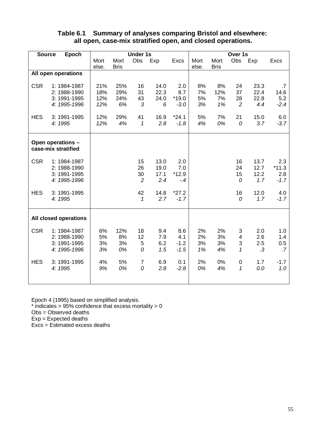### **Table 6.1 Summary of analyses comparing Bristol and elsewhere: all open, case-mix stratified open, and closed operations.**

| <b>Source</b> | Epoch                 |       |             | <b>Under 1s</b> |      |         |       |             | Over 1s        |      |         |
|---------------|-----------------------|-------|-------------|-----------------|------|---------|-------|-------------|----------------|------|---------|
|               |                       | Mort  | Mort        | Obs             | Exp  | Excs    | Mort  | Mort        | Obs            | Exp  | Excs    |
|               |                       | else. | <b>Bris</b> |                 |      |         | else. | <b>Bris</b> |                |      |         |
|               | All open operations   |       |             |                 |      |         |       |             |                |      |         |
| <b>CSR</b>    | 1: 1984-1987          | 21%   | 25%         | 16              | 14.0 | 2.0     | 8%    | 8%          | 24             | 23.3 | .7      |
|               | 2: 1988-1990          | 18%   | 29%         | 31              | 22.3 | 8.7     | 7%    | 12%         | 37             | 22.4 | 14.6    |
|               | 3: 1991-1995          | 12%   | 24%         | 43              | 24.0 | $*19.0$ | 5%    | 7%          | 28             | 22.8 | 5.2     |
|               | 4: 1995-1996          | 12%   | 6%          | 3               | 6    | $-3.0$  | 3%    | 1%          | $\overline{c}$ | 4.4  | $-2.4$  |
| <b>HES</b>    | 3: 1991-1995          | 12%   | 29%         | 41              | 16.9 | $*24.1$ | 5%    | 7%          | 21             | 15.0 | 6.0     |
|               | 4: 1995               | 12%   | 4%          | 1               | 2.8  | $-1.8$  | 4%    | 0%          | 0              | 3.7  | $-3.7$  |
|               | Open operations -     |       |             |                 |      |         |       |             |                |      |         |
|               | case-mix stratified   |       |             |                 |      |         |       |             |                |      |         |
| <b>CSR</b>    | 1: 1984-1987          |       |             | 15              | 13.0 | 2.0     |       |             | 16             | 13.7 | 2.3     |
|               | 2: 1988-1990          |       |             | 26              | 19.0 | 7.0     |       |             | 24             | 12.7 | $*11.3$ |
|               | 3: 1991-1995          |       |             | 30              | 17.1 | $*12.9$ |       |             | 15             | 12.2 | 2.8     |
|               | 4: 1995-1996          |       |             | $\overline{2}$  | 2.4  | $-.4$   |       |             | 0              | 1.7  | $-1.7$  |
| <b>HES</b>    | 3: 1991-1995          |       |             | 42              | 14.8 | $*27.2$ |       |             | 16             | 12.0 | 4.0     |
|               | 4: 1995               |       |             | 1               | 2.7  | $-1.7$  |       |             | 0              | 1.7  | $-1.7$  |
|               | All closed operations |       |             |                 |      |         |       |             |                |      |         |
|               |                       |       |             |                 |      |         |       |             |                |      |         |
| <b>CSR</b>    | 1: 1984-1987          | 6%    | 12%         | 18              | 9.4  | 8.6     | 2%    | 2%          | 3              | 2.0  | 1.0     |
|               | 2: 1988-1990          | 5%    | 8%          | 12              | 7.9  | 4.1     | 2%    | 3%          | 4              | 2.6  | 1.4     |
|               | 3: 1991-1995          | 3%    | 3%          | 5               | 6.2  | $-1.2$  | 3%    | 3%          | 3              | 2.5  | 0.5     |
|               | 4: 1995-1996          | 3%    | 0%          | 0               | 1.5  | $-1.5$  | 1%    | 4%          | 1              | .3   | .7      |
| <b>HES</b>    | 3: 1991-1995          | 4%    | 5%          | $\overline{7}$  | 6.9  | 0.1     | 2%    | 0%          | $\pmb{0}$      | 1.7  | $-1.7$  |
|               | 4: 1995               | 9%    | 0%          | $\mathcal{O}$   | 2.8  | $-2.8$  | 0%    | 4%          | 1              | 0.0  | 1.0     |
|               |                       |       |             |                 |      |         |       |             |                |      |         |

Epoch 4 (1995) based on simplified analysis.  $*$  indicates > 95% confidence that excess mortality > 0

Obs = Observed deaths

Exp = Expected deaths

Excs = Estimated excess deaths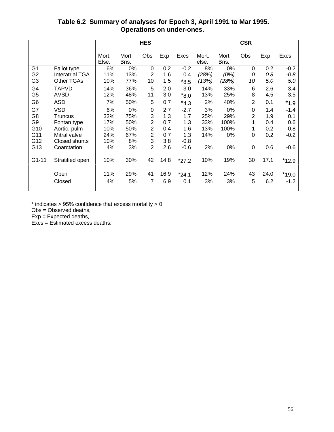## **Table 6.2 Summary of analyses for Epoch 3, April 1991 to Mar 1995. Operations on under-ones.**

|                |                        |                |               | <b>HES</b>     |      |           |                |               | <b>CSR</b>     |      |         |
|----------------|------------------------|----------------|---------------|----------------|------|-----------|----------------|---------------|----------------|------|---------|
|                |                        | Mort.<br>Else. | Mort<br>Bris. | Obs            | Exp  | Excs      | Mort.<br>else. | Mort<br>Bris. | Obs            | Exp  | Excs    |
| G <sub>1</sub> | Fallot type            | 6%             | 0%            | 0              | 0.2  | $-0.2$    | 8%             | 0%            | 0              | 0.2  | $-0.2$  |
| G <sub>2</sub> | <b>Interatrial TGA</b> | 11%            | 13%           | $\overline{2}$ | 1.6  | 0.4       | (28%)          | $(0\%)$       | 0              | 0.8  | $-0.8$  |
| G <sub>3</sub> | <b>Other TGAs</b>      | 10%            | 77%           | 10             | 1.5  | $*8.5$    | (13%)          | (28%)         | 10             | 5.0  | 5.0     |
| G4             | <b>TAPVD</b>           | 14%            | 36%           | 5              | 2.0  | 3.0       | 14%            | 33%           | 6              | 2.6  | 3.4     |
| G <sub>5</sub> | <b>AVSD</b>            | 12%            | 48%           | 11             | 3.0  | $*8.0$    | 13%            | 25%           | 8              | 4.5  | 3.5     |
| G <sub>6</sub> | <b>ASD</b>             | 7%             | 50%           | 5              | 0.7  | $*_{4.3}$ | 2%             | 40%           | $\overline{2}$ | 0.1  | $*1.9$  |
| G7             | <b>VSD</b>             | 6%             | 0%            | 0              | 2.7  | $-2.7$    | 3%             | $0\%$         | 0              | 1.4  | $-1.4$  |
| G <sub>8</sub> | Truncus                | 32%            | 75%           | 3              | 1.3  | 1.7       | 25%            | 29%           | $\overline{2}$ | 1.9  | 0.1     |
| G <sub>9</sub> | Fontan type            | 17%            | 50%           | $\overline{2}$ | 0.7  | 1.3       | 33%            | 100%          | 1              | 0.4  | 0.6     |
| G10            | Aortic, pulm           | 10%            | 50%           | $\overline{2}$ | 0.4  | 1.6       | 13%            | 100%          | 1              | 0.2  | 0.8     |
| G11            | Mitral valve           | 24%            | 67%           | $\overline{2}$ | 0.7  | 1.3       | 14%            | $0\%$         | 0              | 0.2  | $-0.2$  |
| G12            | Closed shunts          | 10%            | 8%            | 3              | 3.8  | $-0.8$    |                |               |                |      |         |
| G13            | Coarctation            | 4%             | 3%            | $\overline{2}$ | 2.6  | $-0.6$    | 2%             | 0%            | $\mathbf 0$    | 0.6  | $-0.6$  |
| $G1 - 11$      | Stratified open        | 10%            | 30%           | 42             | 14.8 | $*27.2$   | 10%            | 19%           | 30             | 17.1 | $*12.9$ |
|                | Open                   | 11%            | 29%           | 41             | 16.9 | $*24.1$   | 12%            | 24%           | 43             | 24.0 | $*19.0$ |
|                | Closed                 | 4%             | 5%            | 7              | 6.9  | 0.1       | 3%             | 3%            | 5              | 6.2  | $-1.2$  |

 $*$  indicates > 95% confidence that excess mortality > 0

Obs = Observed deaths,

 $Exp = Expected$  deaths,

Excs = Estimated excess deaths.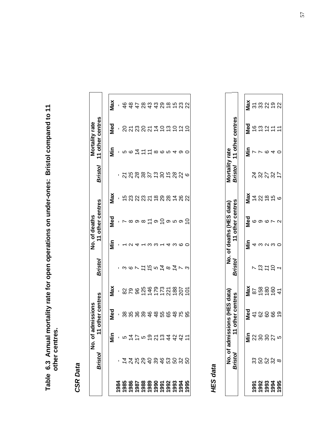Table 6.3 Annual mortality rate for open operations on under-ones: Bristol compared to 11<br>other centres. **Table 6.3 Annual mortality rate for open operations on under-ones: Bristol compared to 11 other centres.**

**CSR** Data **CSR Data**

| other centres<br>Med<br>8 8 8 9 9 9 9 9 9 9 9 9 9 9<br>۳<br>5475923424<br>έ<br>Bristol<br>7 7 7 7 7 8 9 9 9 7 8 9 9 |             |                |     |                  |             |                           |                  |             |                                                                    |
|---------------------------------------------------------------------------------------------------------------------|-------------|----------------|-----|------------------|-------------|---------------------------|------------------|-------------|--------------------------------------------------------------------|
|                                                                                                                     |             | <b>Bristol</b> |     | 11 other centres |             | <b>Bristol</b>            | 11 other centres |             |                                                                    |
|                                                                                                                     |             |                |     |                  |             |                           |                  |             |                                                                    |
|                                                                                                                     | Max         |                | iin | Med              | Max         |                           | Ξ<br>Σ           | Med         | Max                                                                |
|                                                                                                                     | ı           |                |     |                  |             |                           |                  |             |                                                                    |
|                                                                                                                     |             |                |     |                  | もおみおみもおぬはあな | , ス ス 3 3 3 5 2 3 5 3 3 6 |                  |             |                                                                    |
|                                                                                                                     |             |                |     |                  |             |                           | ဖ                |             |                                                                    |
|                                                                                                                     | 82824252825 |                |     |                  |             |                           | ユニ               | のれなのれはりおわなり | <b>4 4 4 8 4 4 8 6 6 7 8 9</b><br>4 <del>4</del> 4 8 4 4 9 6 6 7 8 |
|                                                                                                                     |             |                |     |                  |             |                           |                  |             |                                                                    |
|                                                                                                                     |             | に5は8は73        |     | ထ $\simeq$ တ     |             |                           |                  |             |                                                                    |
|                                                                                                                     |             |                |     |                  |             |                           | ∞                |             |                                                                    |
|                                                                                                                     |             |                |     |                  |             |                           | ဖ                |             |                                                                    |
|                                                                                                                     |             |                |     | $2$ o u o $2$    |             |                           | ഥ                |             |                                                                    |
|                                                                                                                     |             |                |     |                  |             |                           |                  |             |                                                                    |
|                                                                                                                     |             |                |     |                  |             |                           |                  |             |                                                                    |
| 1995                                                                                                                |             |                |     |                  |             |                           |                  |             |                                                                    |

**HES data HES data**

|                              |               | missions (HES data) |     |                  |           | No. of deaths (HES data) |               | <b>Mortality rate</b> |                |                  |           |
|------------------------------|---------------|---------------------|-----|------------------|-----------|--------------------------|---------------|-----------------------|----------------|------------------|-----------|
| No. of adr<br><i>Bristol</i> |               | 11 other centres    |     | <b>Bristol</b>   |           | 11 other centres         |               | <b>Bristol</b>        |                | 11 other centres |           |
|                              |               |                     |     |                  |           |                          |               |                       |                |                  |           |
|                              | €             | Med<br>M            | Max |                  | in<br>Min | Med                      | Max           |                       | in<br>Z        | Ned<br>2         | Max       |
|                              | $\frac{2}{3}$ |                     |     | N                |           |                          |               |                       | $\overline{ }$ |                  |           |
| 33 53 33 00<br>33 53 90      |               | 48889               |     | 13               |           |                          | <b>122666</b> | おとびとけ                 |                | $\frac{6}{13}$   | ភ្លួនខ្លួ |
|                              | $\infty$      |                     |     | $\vec{r}$        |           |                          |               |                       | $\circ$ 4      |                  |           |
|                              | $\frac{5}{5}$ |                     |     | $\tilde{\sigma}$ |           |                          |               |                       |                | ひけけ              |           |
|                              |               |                     |     |                  |           | $\sim$                   |               |                       | $\circ$        |                  |           |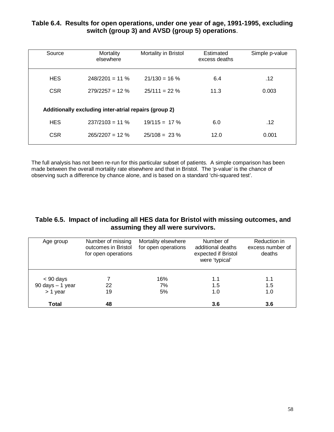## **Table 6.4. Results for open operations, under one year of age, 1991-1995, excluding switch (group 3) and AVSD (group 5) operations**.

| Source     | Mortality<br>elsewhere                                | Mortality in Bristol | Estimated<br>excess deaths | Simple p-value |
|------------|-------------------------------------------------------|----------------------|----------------------------|----------------|
| <b>HES</b> | $248/2201 = 11 \%$                                    | $21/130 = 16%$       | 6.4                        | .12            |
| <b>CSR</b> | $279/2257 = 12 \%$                                    | $25/111 = 22 \%$     | 11.3                       | 0.003          |
|            | Additionally excluding inter-atrial repairs (group 2) |                      |                            |                |
| <b>HES</b> | $237/2103 = 11 \%$                                    | $19/115 = 17\%$      | 6.0                        | .12            |
| <b>CSR</b> | $265/2207 = 12 \%$                                    | $25/108 = 23 \%$     | 12.0                       | 0.001          |
|            |                                                       |                      |                            |                |

The full analysis has not been re-run for this particular subset of patients. A simple comparison has been made between the overall mortality rate elsewhere and that in Bristol. The 'p-value' is the chance of observing such a difference by chance alone, and is based on a standard 'chi-squared test'.

### **Table 6.5. Impact of including all HES data for Bristol with missing outcomes, and assuming they all were survivors.**

| Age group            | Number of missing<br>outcomes in Bristol<br>for open operations | Mortality elsewhere<br>for open operations | Number of<br>additional deaths<br>expected if Bristol<br>were 'typical' | Reduction in<br>excess number of<br>deaths |
|----------------------|-----------------------------------------------------------------|--------------------------------------------|-------------------------------------------------------------------------|--------------------------------------------|
| $< 90$ days          |                                                                 | 16%                                        | 1.1                                                                     | 1.1                                        |
| $90$ days $- 1$ year | 22                                                              | 7%                                         | 1.5                                                                     | 1.5                                        |
| $> 1$ year           | 19                                                              | 5%                                         | 1.0                                                                     | 1.0                                        |
| Total                | 48                                                              |                                            | 3.6                                                                     | 3.6                                        |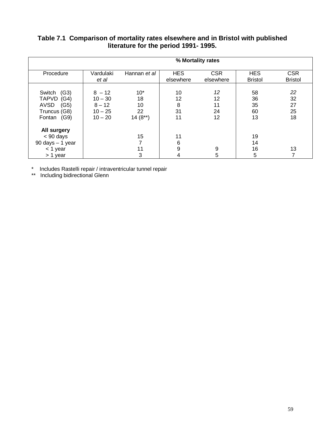### **Table 7.1 Comparison of mortality rates elsewhere and in Bristol with published literature for the period 1991- 1995.**

|                                                                                                 |                                                             |                                      |                           | % Mortality rates          |                              |                              |
|-------------------------------------------------------------------------------------------------|-------------------------------------------------------------|--------------------------------------|---------------------------|----------------------------|------------------------------|------------------------------|
| Procedure                                                                                       | Vardulaki<br>et al                                          | Hannan et al                         | <b>HES</b><br>elsewhere   | <b>CSR</b><br>elsewhere    | <b>HES</b><br><b>Bristol</b> | <b>CSR</b><br><b>Bristol</b> |
| (G3)<br>Switch<br>(G4)<br><b>TAPVD</b><br><b>AVSD</b><br>(G5)<br>Truncus (G8)<br>(G9)<br>Fontan | $8 - 12$<br>$10 - 30$<br>$8 - 12$<br>$10 - 25$<br>$10 - 20$ | $10*$<br>18<br>10<br>22<br>$14(8**)$ | 10<br>12<br>8<br>31<br>11 | 12<br>12<br>11<br>24<br>12 | 58<br>36<br>35<br>60<br>13   | 22<br>32<br>27<br>25<br>18   |
| All surgery<br>$< 90$ days<br>$90$ days $-1$ year<br>$<$ 1 year<br>> 1 year                     |                                                             | 15<br>7<br>11<br>3                   | 11<br>6<br>9<br>4         | 9<br>5                     | 19<br>14<br>16<br>5          | 13<br>⇁                      |

\* Includes Rastelli repair / intraventricular tunnel repair

\*\* Including bidirectional Glenn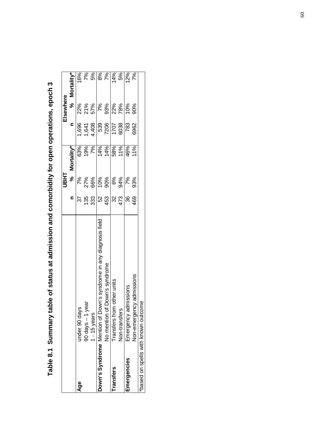| mary table of status at admission and comorbidity for open operations, epoch |
|------------------------------------------------------------------------------|
|                                                                              |
|                                                                              |
|                                                                              |
|                                                                              |
|                                                                              |
|                                                                              |
|                                                                              |
|                                                                              |
|                                                                              |
|                                                                              |
|                                                                              |

|                                |                                                                   |                                 | <b>THEL</b> |                  |                                                                            | Elsewhere |                                 |
|--------------------------------|-------------------------------------------------------------------|---------------------------------|-------------|------------------|----------------------------------------------------------------------------|-----------|---------------------------------|
|                                |                                                                   | $\mathbf{C}$                    | $\aleph$    | Mortality*       | $\mathbf{c}$                                                               |           | % Mortality*                    |
| Age                            | under 90 days<br>~ - 1 year                                       |                                 |             |                  |                                                                            |           |                                 |
|                                |                                                                   |                                 |             | 63%<br>19%<br>7% |                                                                            |           |                                 |
|                                | $1 - 15$ years                                                    |                                 |             |                  |                                                                            |           |                                 |
|                                | Down's Syndrome Mention of Down's syndrome in any diagnosis field |                                 |             | 14%<br>14%       |                                                                            |           |                                 |
|                                | No mention of Down's syndrome                                     | <u>့ မွ မွဲမြွ မွ</u> ံမြွ မွှံ |             |                  | $7,696$<br>$7,6408$<br>$7,700$<br>$7,700$<br>$7,700$<br>$7,700$<br>$7,700$ |           | 16%<br>7% 8% 8% 7%<br>14% 8% 7% |
| ransfers                       | rom other units<br>Transfers fi                                   |                                 |             | 58%              |                                                                            |           |                                 |
|                                | Non-transfers                                                     |                                 |             | 11%              |                                                                            |           |                                 |
| Emergencies                    | admissions<br>Emergency                                           |                                 |             | 46%              | 783                                                                        |           |                                 |
|                                | ency admissions<br>Non-emerg                                      | 469                             | 93%         | 11%              | 6962                                                                       |           |                                 |
| based on spells with known out | come                                                              |                                 |             |                  |                                                                            |           |                                 |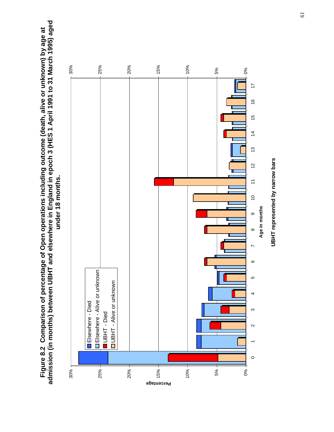Figure 8.2 Comparison of percentage of Open operations including outcome (death, alive or unknown) by age at<br>admission (in months) between UBHT and elsewhere in England in epoch 3 (HES 1 April 1991 to 31 March 1995) aged **admission (in months) between UBHT and elsewhere in England in epoch 3 (HES 1 April 1991 to 31 March 1995) aged Figure 8.2 Comparison of percentage of Open operations including outcome (death, alive or unknown) by age at** under 18 months. **under 18 months.**



61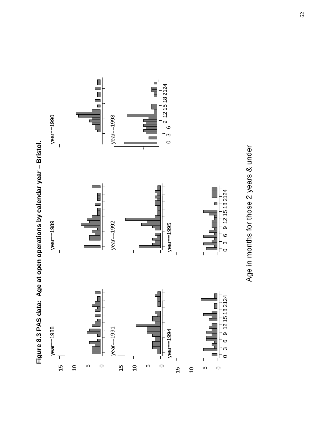

Figure 8.3 PAS data: Age at open operations by calendar year - Bristol. **Figure 8.3 PAS data: Age at open operations by calendar year – Bristol.**

Age in months for those 2 years & under Age in months for those 2 years & under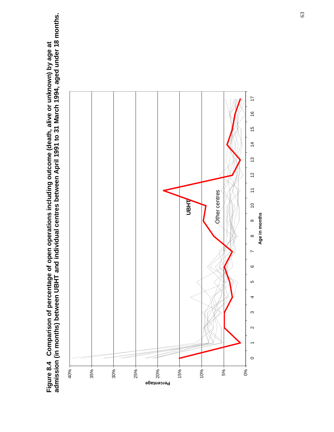Figure 8.4 Comparison of percentage of open operations including outcome (death, alive or unknown) by age at<br>admission (in months) between UBHT and individual centres between April 1991 to 31 March 1994, aged under 18 mont **admission (in months) between UBHT and individual centres between April 1991 to 31 March 1994, aged under 18 months. Figure 8.4 Comparison of percentage of open operations including outcome (death, alive or unknown) by age at**